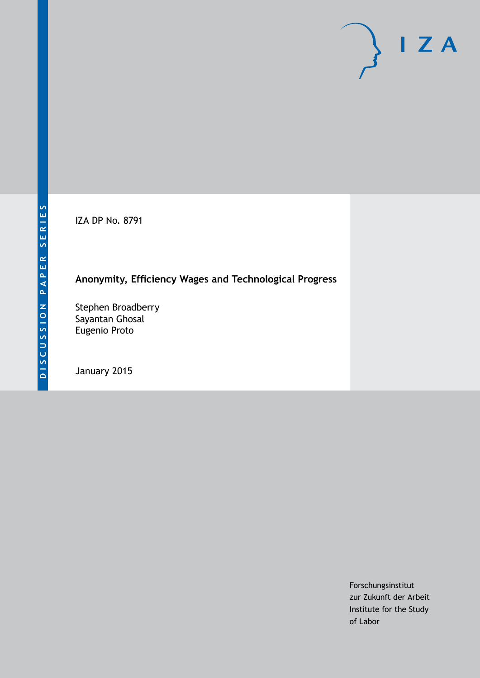IZA DP No. 8791

# **Anonymity, Efficiency Wages and Technological Progress**

Stephen Broadberry Sayantan Ghosal Eugenio Proto

January 2015

Forschungsinstitut zur Zukunft der Arbeit Institute for the Study of Labor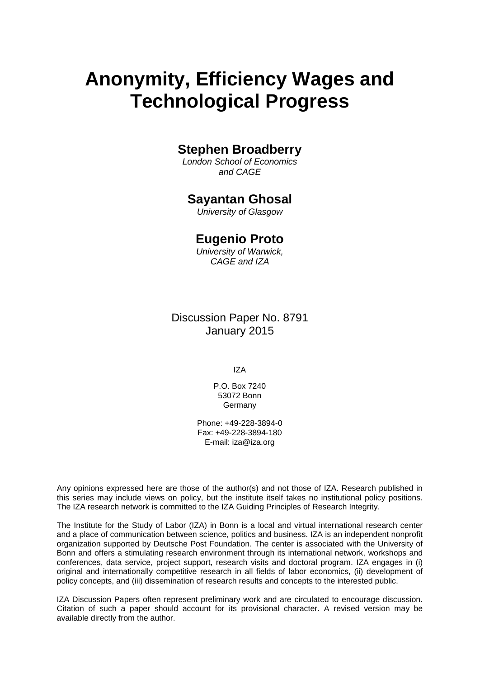# **Anonymity, Efficiency Wages and Technological Progress**

# **Stephen Broadberry**

*London School of Economics and CAGE*

## **Sayantan Ghosal**

*University of Glasgow*

## **Eugenio Proto**

*University of Warwick, CAGE and IZA*

Discussion Paper No. 8791 January 2015

IZA

P.O. Box 7240 53072 Bonn **Germany** 

Phone: +49-228-3894-0 Fax: +49-228-3894-180 E-mail: [iza@iza.org](mailto:iza@iza.org)

Any opinions expressed here are those of the author(s) and not those of IZA. Research published in this series may include views on policy, but the institute itself takes no institutional policy positions. The IZA research network is committed to the IZA Guiding Principles of Research Integrity.

The Institute for the Study of Labor (IZA) in Bonn is a local and virtual international research center and a place of communication between science, politics and business. IZA is an independent nonprofit organization supported by Deutsche Post Foundation. The center is associated with the University of Bonn and offers a stimulating research environment through its international network, workshops and conferences, data service, project support, research visits and doctoral program. IZA engages in (i) original and internationally competitive research in all fields of labor economics, (ii) development of policy concepts, and (iii) dissemination of research results and concepts to the interested public.

IZA Discussion Papers often represent preliminary work and are circulated to encourage discussion. Citation of such a paper should account for its provisional character. A revised version may be available directly from the author.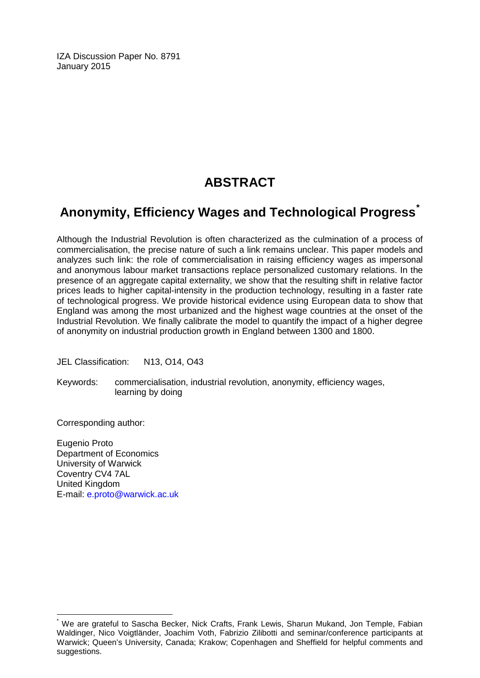IZA Discussion Paper No. 8791 January 2015

# **ABSTRACT**

# **Anonymity, Efficiency Wages and Technological Progress[\\*](#page-2-0)**

Although the Industrial Revolution is often characterized as the culmination of a process of commercialisation, the precise nature of such a link remains unclear. This paper models and analyzes such link: the role of commercialisation in raising efficiency wages as impersonal and anonymous labour market transactions replace personalized customary relations. In the presence of an aggregate capital externality, we show that the resulting shift in relative factor prices leads to higher capital-intensity in the production technology, resulting in a faster rate of technological progress. We provide historical evidence using European data to show that England was among the most urbanized and the highest wage countries at the onset of the Industrial Revolution. We finally calibrate the model to quantify the impact of a higher degree of anonymity on industrial production growth in England between 1300 and 1800.

JEL Classification: N13, O14, O43

Keywords: commercialisation, industrial revolution, anonymity, efficiency wages, learning by doing

Corresponding author:

Eugenio Proto Department of Economics University of Warwick Coventry CV4 7AL United Kingdom E-mail: [e.proto@warwick.ac.uk](mailto:e.proto@warwick.ac.uk)

<span id="page-2-0"></span>We are grateful to Sascha Becker, Nick Crafts, Frank Lewis, Sharun Mukand, Jon Temple, Fabian Waldinger, Nico Voigtländer, Joachim Voth, Fabrizio Zilibotti and seminar/conference participants at Warwick; Queen's University, Canada; Krakow; Copenhagen and Sheffield for helpful comments and suggestions.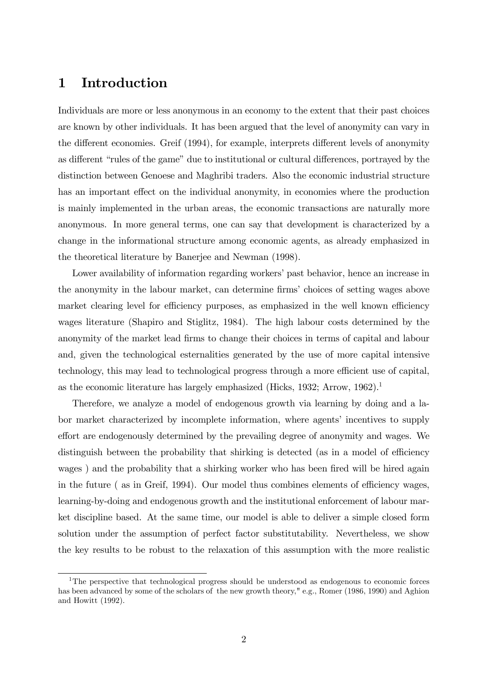# 1 Introduction

Individuals are more or less anonymous in an economy to the extent that their past choices are known by other individuals. It has been argued that the level of anonymity can vary in the different economies. Greif (1994), for example, interprets different levels of anonymity as different "rules of the game" due to institutional or cultural differences, portrayed by the distinction between Genoese and Maghribi traders. Also the economic industrial structure has an important effect on the individual anonymity, in economies where the production is mainly implemented in the urban areas, the economic transactions are naturally more anonymous. In more general terms, one can say that development is characterized by a change in the informational structure among economic agents, as already emphasized in the theoretical literature by Banerjee and Newman (1998).

Lower availability of information regarding workers' past behavior, hence an increase in the anonymity in the labour market, can determine firms' choices of setting wages above market clearing level for efficiency purposes, as emphasized in the well known efficiency wages literature (Shapiro and Stiglitz, 1984). The high labour costs determined by the anonymity of the market lead firms to change their choices in terms of capital and labour and, given the technological esternalities generated by the use of more capital intensive technology, this may lead to technological progress through a more efficient use of capital, as the economic literature has largely emphasized (Hicks, 1932; Arrow, 1962).<sup>1</sup>

Therefore, we analyze a model of endogenous growth via learning by doing and a labor market characterized by incomplete information, where agents' incentives to supply effort are endogenously determined by the prevailing degree of anonymity and wages. We distinguish between the probability that shirking is detected (as in a model of efficiency wages) and the probability that a shirking worker who has been fired will be hired again in the future ( as in Greif,  $1994$ ). Our model thus combines elements of efficiency wages, learning-by-doing and endogenous growth and the institutional enforcement of labour market discipline based. At the same time, our model is able to deliver a simple closed form solution under the assumption of perfect factor substitutability. Nevertheless, we show the key results to be robust to the relaxation of this assumption with the more realistic

<sup>&</sup>lt;sup>1</sup>The perspective that technological progress should be understood as endogenous to economic forces has been advanced by some of the scholars of the new growth theory," e.g., Romer (1986, 1990) and Aghion and Howitt (1992).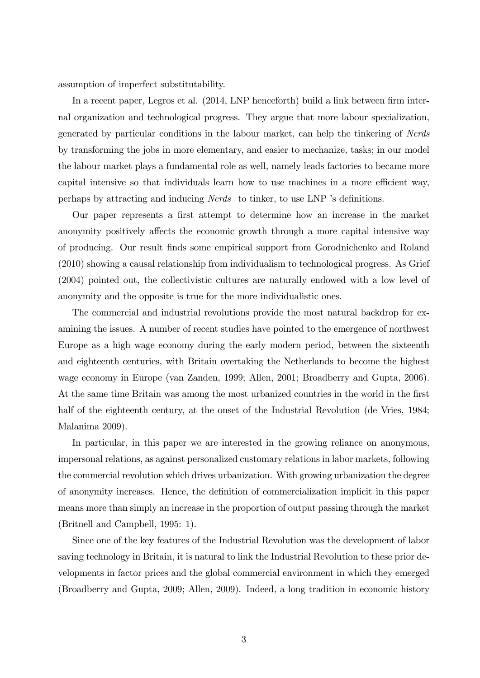assumption of imperfect substitutability.

In a recent paper, Legros et al. (2014, LNP henceforth) build a link between firm internal organization and technological progress. They argue that more labour specialization, generated by particular conditions in the labour market, can help the tinkering of Nerds by transforming the jobs in more elementary, and easier to mechanize, tasks; in our model the labour market plays a fundamental role as well, namely leads factories to became more capital intensive so that individuals learn how to use machines in a more efficient way, perhaps by attracting and inducing *Nerds* to tinker, to use LNP 's definitions.

Our paper represents a Örst attempt to determine how an increase in the market anonymity positively affects the economic growth through a more capital intensive way of producing. Our result Önds some empirical support from Gorodnichenko and Roland (2010) showing a causal relationship from individualism to technological progress. As Grief (2004) pointed out, the collectivistic cultures are naturally endowed with a low level of anonymity and the opposite is true for the more individualistic ones.

The commercial and industrial revolutions provide the most natural backdrop for examining the issues. A number of recent studies have pointed to the emergence of northwest Europe as a high wage economy during the early modern period, between the sixteenth and eighteenth centuries, with Britain overtaking the Netherlands to become the highest wage economy in Europe (van Zanden, 1999; Allen, 2001; Broadberry and Gupta, 2006). At the same time Britain was among the most urbanized countries in the world in the first half of the eighteenth century, at the onset of the Industrial Revolution (de Vries, 1984; Malanima 2009).

In particular, in this paper we are interested in the growing reliance on anonymous, impersonal relations, as against personalized customary relations in labor markets, following the commercial revolution which drives urbanization. With growing urbanization the degree of anonymity increases. Hence, the definition of commercialization implicit in this paper means more than simply an increase in the proportion of output passing through the market (Britnell and Campbell, 1995: 1).

Since one of the key features of the Industrial Revolution was the development of labor saving technology in Britain, it is natural to link the Industrial Revolution to these prior developments in factor prices and the global commercial environment in which they emerged (Broadberry and Gupta, 2009; Allen, 2009). Indeed, a long tradition in economic history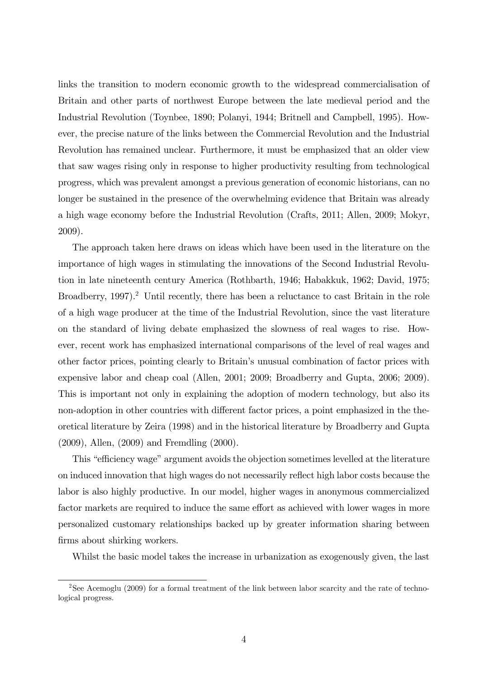links the transition to modern economic growth to the widespread commercialisation of Britain and other parts of northwest Europe between the late medieval period and the Industrial Revolution (Toynbee, 1890; Polanyi, 1944; Britnell and Campbell, 1995). However, the precise nature of the links between the Commercial Revolution and the Industrial Revolution has remained unclear. Furthermore, it must be emphasized that an older view that saw wages rising only in response to higher productivity resulting from technological progress, which was prevalent amongst a previous generation of economic historians, can no longer be sustained in the presence of the overwhelming evidence that Britain was already a high wage economy before the Industrial Revolution (Crafts, 2011; Allen, 2009; Mokyr, 2009).

The approach taken here draws on ideas which have been used in the literature on the importance of high wages in stimulating the innovations of the Second Industrial Revolution in late nineteenth century America (Rothbarth, 1946; Habakkuk, 1962; David, 1975; Broadberry, 1997).<sup>2</sup> Until recently, there has been a reluctance to cast Britain in the role of a high wage producer at the time of the Industrial Revolution, since the vast literature on the standard of living debate emphasized the slowness of real wages to rise. However, recent work has emphasized international comparisons of the level of real wages and other factor prices, pointing clearly to Britainís unusual combination of factor prices with expensive labor and cheap coal (Allen, 2001; 2009; Broadberry and Gupta, 2006; 2009). This is important not only in explaining the adoption of modern technology, but also its non-adoption in other countries with different factor prices, a point emphasized in the theoretical literature by Zeira (1998) and in the historical literature by Broadberry and Gupta (2009), Allen, (2009) and Fremdling (2000).

This "efficiency wage" argument avoids the objection sometimes levelled at the literature on induced innovation that high wages do not necessarily reflect high labor costs because the labor is also highly productive. In our model, higher wages in anonymous commercialized factor markets are required to induce the same effort as achieved with lower wages in more personalized customary relationships backed up by greater information sharing between firms about shirking workers.

Whilst the basic model takes the increase in urbanization as exogenously given, the last

<sup>&</sup>lt;sup>2</sup>See Acemoglu (2009) for a formal treatment of the link between labor scarcity and the rate of technological progress.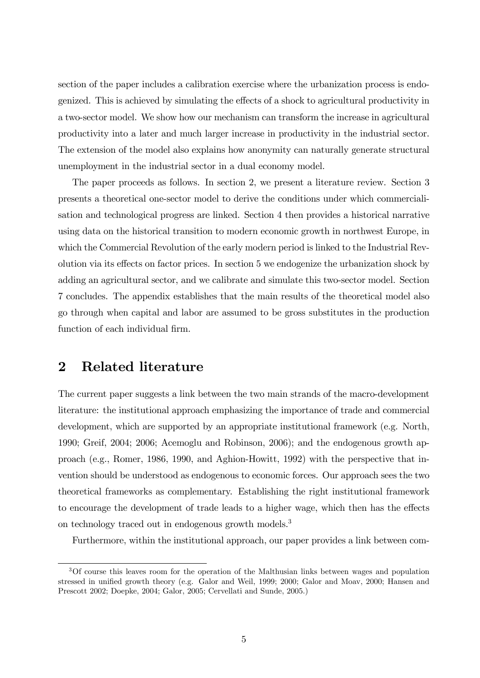section of the paper includes a calibration exercise where the urbanization process is endogenized. This is achieved by simulating the effects of a shock to agricultural productivity in a two-sector model. We show how our mechanism can transform the increase in agricultural productivity into a later and much larger increase in productivity in the industrial sector. The extension of the model also explains how anonymity can naturally generate structural unemployment in the industrial sector in a dual economy model.

The paper proceeds as follows. In section 2, we present a literature review. Section 3 presents a theoretical one-sector model to derive the conditions under which commercialisation and technological progress are linked. Section 4 then provides a historical narrative using data on the historical transition to modern economic growth in northwest Europe, in which the Commercial Revolution of the early modern period is linked to the Industrial Revolution via its effects on factor prices. In section 5 we endogenize the urbanization shock by adding an agricultural sector, and we calibrate and simulate this two-sector model. Section 7 concludes. The appendix establishes that the main results of the theoretical model also go through when capital and labor are assumed to be gross substitutes in the production function of each individual firm.

# 2 Related literature

The current paper suggests a link between the two main strands of the macro-development literature: the institutional approach emphasizing the importance of trade and commercial development, which are supported by an appropriate institutional framework (e.g. North, 1990; Greif, 2004; 2006; Acemoglu and Robinson, 2006); and the endogenous growth approach (e.g., Romer, 1986, 1990, and Aghion-Howitt, 1992) with the perspective that invention should be understood as endogenous to economic forces. Our approach sees the two theoretical frameworks as complementary. Establishing the right institutional framework to encourage the development of trade leads to a higher wage, which then has the effects on technology traced out in endogenous growth models.<sup>3</sup>

Furthermore, within the institutional approach, our paper provides a link between com-

<sup>&</sup>lt;sup>3</sup>Of course this leaves room for the operation of the Malthusian links between wages and population stressed in unified growth theory (e.g. Galor and Weil, 1999; 2000; Galor and Moav, 2000; Hansen and Prescott 2002; Doepke, 2004; Galor, 2005; Cervellati and Sunde, 2005.)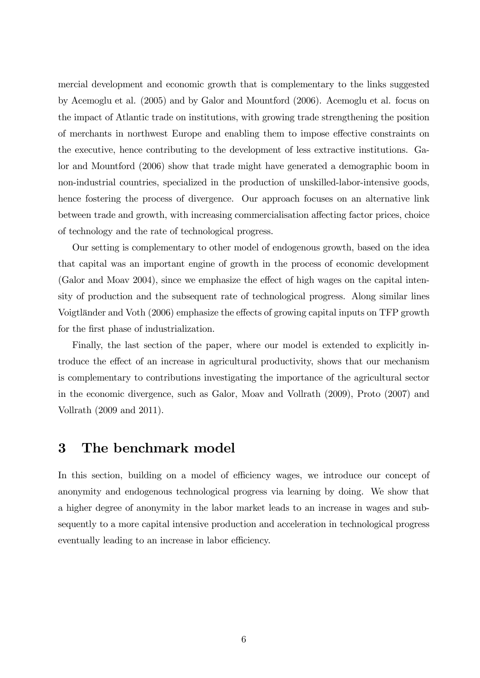mercial development and economic growth that is complementary to the links suggested by Acemoglu et al. (2005) and by Galor and Mountford (2006). Acemoglu et al. focus on the impact of Atlantic trade on institutions, with growing trade strengthening the position of merchants in northwest Europe and enabling them to impose effective constraints on the executive, hence contributing to the development of less extractive institutions. Galor and Mountford (2006) show that trade might have generated a demographic boom in non-industrial countries, specialized in the production of unskilled-labor-intensive goods, hence fostering the process of divergence. Our approach focuses on an alternative link between trade and growth, with increasing commercialisation affecting factor prices, choice of technology and the rate of technological progress.

Our setting is complementary to other model of endogenous growth, based on the idea that capital was an important engine of growth in the process of economic development  $(Galoar and Moav 2004)$ , since we emphasize the effect of high wages on the capital intensity of production and the subsequent rate of technological progress. Along similar lines Voigtländer and Voth (2006) emphasize the effects of growing capital inputs on TFP growth for the first phase of industrialization.

Finally, the last section of the paper, where our model is extended to explicitly introduce the effect of an increase in agricultural productivity, shows that our mechanism is complementary to contributions investigating the importance of the agricultural sector in the economic divergence, such as Galor, Moav and Vollrath (2009), Proto (2007) and Vollrath (2009 and 2011).

## 3 The benchmark model

In this section, building on a model of efficiency wages, we introduce our concept of anonymity and endogenous technological progress via learning by doing. We show that a higher degree of anonymity in the labor market leads to an increase in wages and subsequently to a more capital intensive production and acceleration in technological progress eventually leading to an increase in labor efficiency.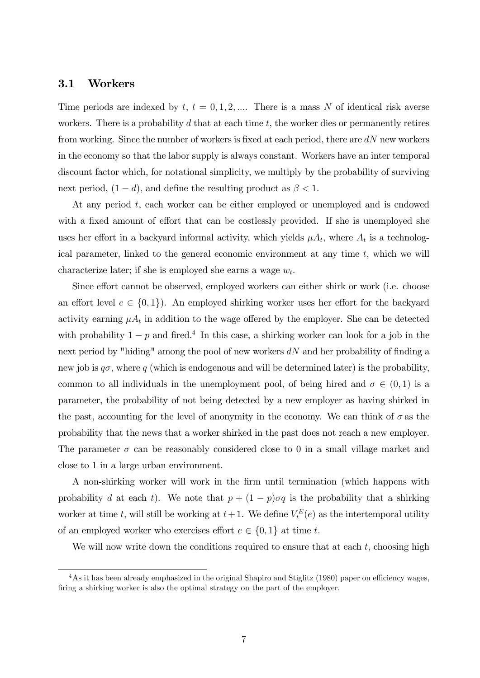#### 3.1 Workers

Time periods are indexed by  $t, t = 0, 1, 2, \dots$  There is a mass N of identical risk averse workers. There is a probability  $d$  that at each time  $t$ , the worker dies or permanently retires from working. Since the number of workers is fixed at each period, there are  $dN$  new workers in the economy so that the labor supply is always constant. Workers have an inter temporal discount factor which, for notational simplicity, we multiply by the probability of surviving next period,  $(1-d)$ , and define the resulting product as  $\beta < 1$ .

At any period t, each worker can be either employed or unemployed and is endowed with a fixed amount of effort that can be costlessly provided. If she is unemployed she uses her effort in a backyard informal activity, which yields  $\mu A_t$ , where  $A_t$  is a technological parameter, linked to the general economic environment at any time  $t$ , which we will characterize later; if she is employed she earns a wage  $w_t$ .

Since effort cannot be observed, employed workers can either shirk or work (i.e. choose an effort level  $e \in \{0, 1\}$ . An employed shirking worker uses her effort for the backyard activity earning  $\mu A_t$  in addition to the wage offered by the employer. She can be detected with probability  $1 - p$  and fired.<sup>4</sup> In this case, a shirking worker can look for a job in the next period by "hiding" among the pool of new workers  $dN$  and her probability of finding a new job is  $q\sigma$ , where q (which is endogenous and will be determined later) is the probability, common to all individuals in the unemployment pool, of being hired and  $\sigma \in (0,1)$  is a parameter, the probability of not being detected by a new employer as having shirked in the past, accounting for the level of anonymity in the economy. We can think of  $\sigma$  as the probability that the news that a worker shirked in the past does not reach a new employer. The parameter  $\sigma$  can be reasonably considered close to 0 in a small village market and close to 1 in a large urban environment.

A non-shirking worker will work in the Örm until termination (which happens with probability d at each t). We note that  $p + (1 - p)\sigma q$  is the probability that a shirking worker at time t, will still be working at  $t+1$ . We define  $V_t^E(e)$  as the intertemporal utility of an employed worker who exercises effort  $e \in \{0, 1\}$  at time t.

We will now write down the conditions required to ensure that at each  $t$ , choosing high

 $4\text{As}$  it has been already emphasized in the original Shapiro and Stiglitz (1980) paper on efficiency wages, firing a shirking worker is also the optimal strategy on the part of the employer.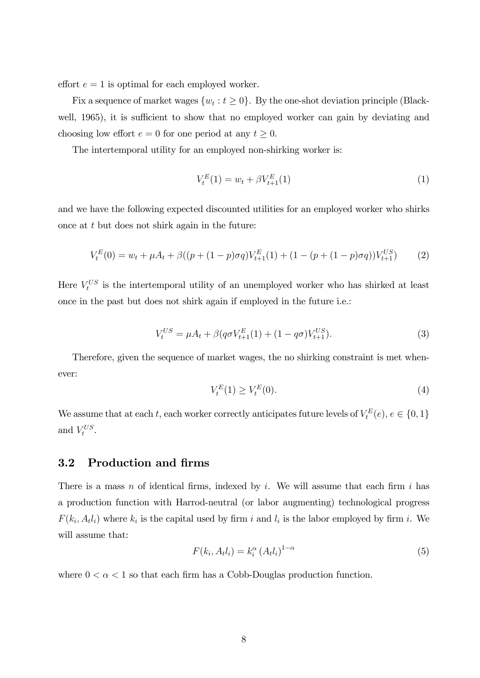effort  $e = 1$  is optimal for each employed worker.

Fix a sequence of market wages  $\{w_t : t \geq 0\}$ . By the one-shot deviation principle (Blackwell, 1965), it is sufficient to show that no employed worker can gain by deviating and choosing low effort  $e = 0$  for one period at any  $t \geq 0$ .

The intertemporal utility for an employed non-shirking worker is:

$$
V_t^E(1) = w_t + \beta V_{t+1}^E(1) \tag{1}
$$

and we have the following expected discounted utilities for an employed worker who shirks once at t but does not shirk again in the future:

$$
V_t^E(0) = w_t + \mu A_t + \beta \left( \left( p + (1 - p)\sigma q \right) V_{t+1}^E(1) + (1 - \left( p + (1 - p)\sigma q \right) V_{t+1}^{US} \right) \tag{2}
$$

Here  $V_t^{US}$  is the intertemporal utility of an unemployed worker who has shirked at least once in the past but does not shirk again if employed in the future i.e.:

$$
V_t^{US} = \mu A_t + \beta (q \sigma V_{t+1}^E(1) + (1 - q \sigma) V_{t+1}^{US}).
$$
\n(3)

Therefore, given the sequence of market wages, the no shirking constraint is met whenever:

$$
V_t^E(1) \ge V_t^E(0). \tag{4}
$$

We assume that at each t, each worker correctly anticipates future levels of  $V_t^E(e)$ ,  $e \in \{0, 1\}$ and  $V_t^{US}$ .

## 3.2 Production and firms

There is a mass n of identical firms, indexed by i. We will assume that each firm i has a production function with Harrod-neutral (or labor augmenting) technological progress  $F(k_i, A_t l_i)$  where  $k_i$  is the capital used by firm i and  $l_i$  is the labor employed by firm i. We will assume that:

$$
F(k_i, A_t l_i) = k_i^{\alpha} (A_t l_i)^{1-\alpha}
$$
\n
$$
(5)
$$

where  $0 < \alpha < 1$  so that each firm has a Cobb-Douglas production function.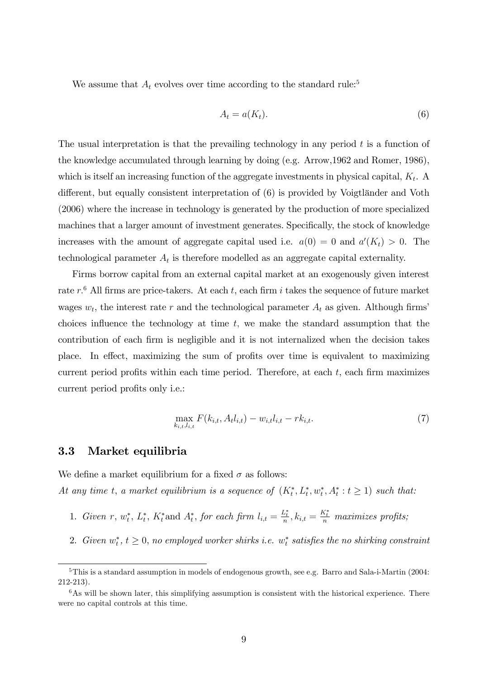We assume that  $A_t$  evolves over time according to the standard rule:<sup>5</sup>

$$
A_t = a(K_t). \tag{6}
$$

The usual interpretation is that the prevailing technology in any period  $t$  is a function of the knowledge accumulated through learning by doing (e.g. Arrow,1962 and Romer, 1986), which is itself an increasing function of the aggregate investments in physical capital,  $K_t$ . A different, but equally consistent interpretation of  $(6)$  is provided by Voigtländer and Voth (2006) where the increase in technology is generated by the production of more specialized machines that a larger amount of investment generates. Specifically, the stock of knowledge increases with the amount of aggregate capital used i.e.  $a(0) = 0$  and  $a'(K_t) > 0$ . The technological parameter  $A_t$  is therefore modelled as an aggregate capital externality.

Firms borrow capital from an external capital market at an exogenously given interest rate  $r.^6$  All firms are price-takers. At each  $t$ , each firm i takes the sequence of future market wages  $w_t$ , the interest rate r and the technological parameter  $A_t$  as given. Although firms' choices influence the technology at time  $t$ , we make the standard assumption that the contribution of each Örm is negligible and it is not internalized when the decision takes place. In effect, maximizing the sum of profits over time is equivalent to maximizing current period profits within each time period. Therefore, at each  $t$ , each firm maximizes current period profits only *i.e.*:

$$
\max_{k_{i,t},l_{i,t}} F(k_{i,t}, A_t l_{i,t}) - w_{i,t} l_{i,t} - r k_{i,t}.
$$
\n(7)

#### 3.3 Market equilibria

We define a market equilibrium for a fixed  $\sigma$  as follows: At any time t, a market equilibrium is a sequence of  $(K_t^*, L_t^*, w_t^*, A_t^* : t \ge 1)$  such that:

- 1. Given r,  $w_t^*$ ,  $L_t^*$ ,  $K_t^*$  and  $A_t^*$ , for each firm  $l_{i,t} = \frac{L_t^*}{n}$ ,  $k_{i,t} = \frac{K_t^*}{n}$  maximizes profits;
- 2. Given  $w_t^*$ ,  $t \geq 0$ , no employed worker shirks i.e.  $w_t^*$  satisfies the no shirking constraint

<sup>5</sup>This is a standard assumption in models of endogenous growth, see e.g. Barro and Sala-i-Martin (2004: 212-213).

 $6$ As will be shown later, this simplifying assumption is consistent with the historical experience. There were no capital controls at this time.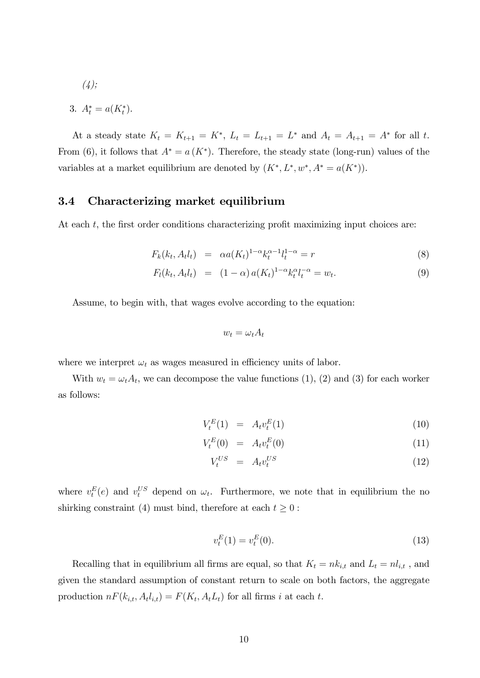$$
(4);
$$

3. 
$$
A_t^* = a(K_t^*).
$$

At a steady state  $K_t = K_{t+1} = K^*$ ,  $L_t = L_{t+1} = L^*$  and  $A_t = A_{t+1} = A^*$  for all t. From (6), it follows that  $A^* = a(K^*)$ . Therefore, the steady state (long-run) values of the variables at a market equilibrium are denoted by  $(K^*, L^*, w^*, A^* = a(K^*))$ .

### 3.4 Characterizing market equilibrium

At each  $t$ , the first order conditions characterizing profit maximizing input choices are:

$$
F_k(k_t, A_t l_t) = \alpha a(K_t)^{1-\alpha} k_t^{\alpha-1} l_t^{1-\alpha} = r \tag{8}
$$

$$
F_l(k_t, A_t l_t) = (1 - \alpha) a(K_t)^{1 - \alpha} k_t^{\alpha} l_t^{-\alpha} = w_t.
$$
\n(9)

Assume, to begin with, that wages evolve according to the equation:

$$
w_t = \omega_t A_t
$$

where we interpret  $\omega_t$  as wages measured in efficiency units of labor.

With  $w_t = \omega_t A_t$ , we can decompose the value functions (1), (2) and (3) for each worker as follows:

$$
V_t^E(1) = A_t v_t^E(1) \tag{10}
$$

$$
V_t^E(0) = A_t v_t^E(0)
$$
\n(11)

$$
V_t^{US} = A_t v_t^{US} \tag{12}
$$

where  $v_t^E(e)$  and  $v_t^U$  depend on  $\omega_t$ . Furthermore, we note that in equilibrium the no shirking constraint (4) must bind, therefore at each  $t \geq 0$ :

$$
v_t^E(1) = v_t^E(0). \tag{13}
$$

Recalling that in equilibrium all firms are equal, so that  $K_t = nk_{i,t}$  and  $L_t = nl_{i,t}$ , and given the standard assumption of constant return to scale on both factors, the aggregate production  $n F(k_{i,t}, A_t l_{i,t}) = F(K_t, A_t L_t)$  for all firms i at each t.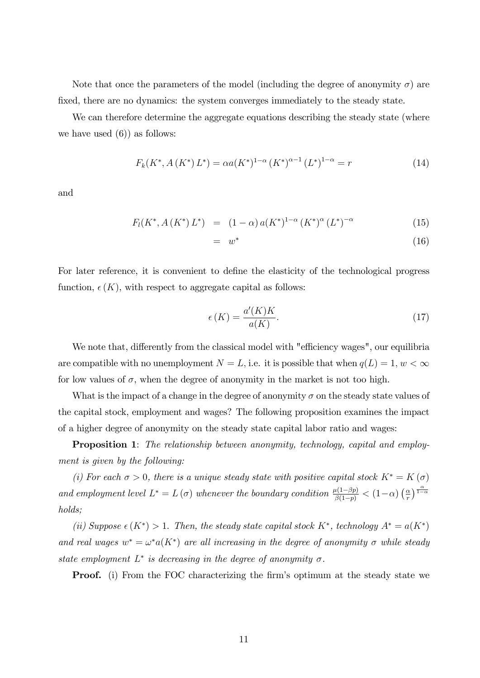Note that once the parameters of the model (including the degree of anonymity  $\sigma$ ) are fixed, there are no dynamics: the system converges immediately to the steady state.

We can therefore determine the aggregate equations describing the steady state (where we have used  $(6)$ ) as follows:

$$
F_k(K^*, A(K^*) L^*) = \alpha a(K^*)^{1-\alpha} (K^*)^{\alpha-1} (L^*)^{1-\alpha} = r
$$
\n(14)

and

$$
F_l(K^*, A(K^*) L^*) = (1 - \alpha) a(K^*)^{1 - \alpha} (K^*)^{\alpha} (L^*)^{-\alpha}
$$
 (15)

$$
= w^* \tag{16}
$$

For later reference, it is convenient to define the elasticity of the technological progress function,  $\epsilon(K)$ , with respect to aggregate capital as follows:

$$
\epsilon(K) = \frac{a'(K)K}{a(K)}.\tag{17}
$$

We note that, differently from the classical model with "efficiency wages", our equilibria are compatible with no unemployment  $N = L$ , i.e. it is possible that when  $q(L) = 1, w < \infty$ for low values of  $\sigma$ , when the degree of anonymity in the market is not too high.

What is the impact of a change in the degree of anonymity  $\sigma$  on the steady state values of the capital stock, employment and wages? The following proposition examines the impact of a higher degree of anonymity on the steady state capital labor ratio and wages:

**Proposition 1:** The relationship between anonymity, technology, capital and employment is given by the following:

(i) For each  $\sigma > 0$ , there is a unique steady state with positive capital stock  $K^* = K(\sigma)$ and employment level  $L^* = L(\sigma)$  whenever the boundary condition  $\frac{\mu(1-\beta p)}{\beta(1-p)} < (1-\alpha)\left(\frac{\alpha}{r}\right)$  $\frac{\alpha}{r}$ )  $\frac{\alpha}{1-\alpha}$ holds;

(ii) Suppose  $\epsilon(K^*) > 1$ . Then, the steady state capital stock  $K^*$ , technology  $A^* = a(K^*)$ and real wages  $w^* = \omega^* a(K^*)$  are all increasing in the degree of anonymity  $\sigma$  while steady state employment  $L^*$  is decreasing in the degree of anonymity  $\sigma$ .

**Proof.** (i) From the FOC characterizing the firm's optimum at the steady state we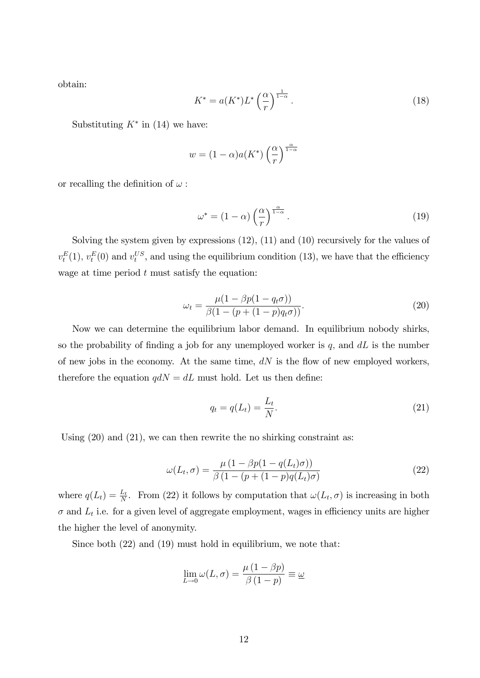obtain:

$$
K^* = a(K^*)L^* \left(\frac{\alpha}{r}\right)^{\frac{1}{1-\alpha}}.\tag{18}
$$

Substituting  $K^*$  in (14) we have:

$$
w = (1 - \alpha)a(K^*) \left(\frac{\alpha}{r}\right)^{\frac{\alpha}{1 - \alpha}}
$$

or recalling the definition of  $\omega$ :

$$
\omega^* = (1 - \alpha) \left(\frac{\alpha}{r}\right)^{\frac{\alpha}{1 - \alpha}}.\tag{19}
$$

Solving the system given by expressions (12), (11) and (10) recursively for the values of  $v_t^E(1)$ ,  $v_t^E(0)$  and  $v_t^{US}$ , and using the equilibrium condition (13), we have that the efficiency wage at time period  $t$  must satisfy the equation:

$$
\omega_t = \frac{\mu(1 - \beta p(1 - q_t \sigma))}{\beta(1 - (p + (1 - p)q_t \sigma))}.
$$
\n(20)

Now we can determine the equilibrium labor demand. In equilibrium nobody shirks, so the probability of finding a job for any unemployed worker is  $q$ , and  $dL$  is the number of new jobs in the economy. At the same time,  $dN$  is the flow of new employed workers, therefore the equation  $q dN = dL$  must hold. Let us then define:

$$
q_t = q(L_t) = \frac{L_t}{N}.\tag{21}
$$

Using  $(20)$  and  $(21)$ , we can then rewrite the no shirking constraint as:

$$
\omega(L_t, \sigma) = \frac{\mu \left(1 - \beta p(1 - q(L_t)\sigma)\right)}{\beta \left(1 - (p + (1 - p)q(L_t)\sigma)\right)}
$$
(22)

where  $q(L_t) = \frac{L_t}{N}$ . From (22) it follows by computation that  $\omega(L_t, \sigma)$  is increasing in both  $\sigma$  and  $L_t$  i.e. for a given level of aggregate employment, wages in efficiency units are higher the higher the level of anonymity.

Since both (22) and (19) must hold in equilibrium, we note that:

$$
\lim_{L \to 0} \omega(L, \sigma) = \frac{\mu (1 - \beta p)}{\beta (1 - p)} \equiv \underline{\omega}
$$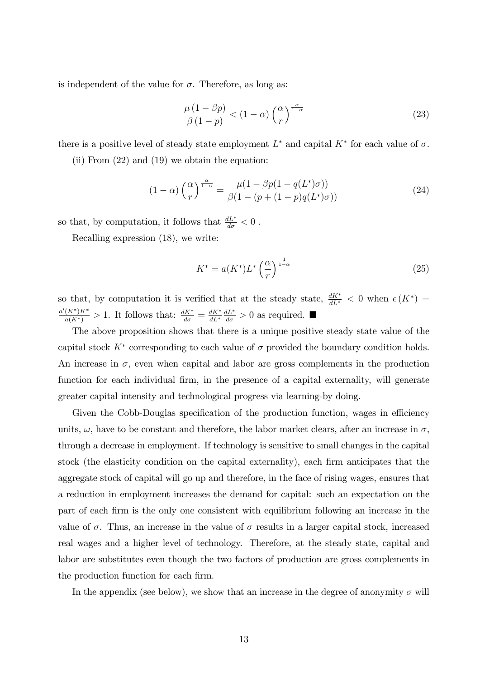is independent of the value for  $\sigma$ . Therefore, as long as:

$$
\frac{\mu(1-\beta p)}{\beta(1-p)} < (1-\alpha) \left(\frac{\alpha}{r}\right)^{\frac{\alpha}{1-\alpha}}\tag{23}
$$

there is a positive level of steady state employment  $L^*$  and capital  $K^*$  for each value of  $\sigma$ .

(ii) From (22) and (19) we obtain the equation:

$$
(1 - \alpha) \left(\frac{\alpha}{r}\right)^{\frac{\alpha}{1 - \alpha}} = \frac{\mu(1 - \beta p(1 - q(L^*)\sigma))}{\beta(1 - (p + (1 - p)q(L^*)\sigma))}
$$
(24)

so that, by computation, it follows that  $\frac{dL^*}{d\sigma} < 0$ .

Recalling expression (18), we write:

$$
K^* = a(K^*)L^* \left(\frac{\alpha}{r}\right)^{\frac{1}{1-\alpha}}\tag{25}
$$

so that, by computation it is verified that at the steady state,  $\frac{dK^*}{dL^*} < 0$  when  $\epsilon(K^*) =$  $\frac{a'(K^*)K^*}{a(K^*)} > 1$ . It follows that:  $\frac{dK^*}{d\sigma} = \frac{dK^*}{dL^*}$  $dL^*$  $\frac{dL^*}{d\sigma} > 0$  as required.

The above proposition shows that there is a unique positive steady state value of the capital stock  $K^*$  corresponding to each value of  $\sigma$  provided the boundary condition holds. An increase in  $\sigma$ , even when capital and labor are gross complements in the production function for each individual firm, in the presence of a capital externality, will generate greater capital intensity and technological progress via learning-by doing.

Given the Cobb-Douglas specification of the production function, wages in efficiency units,  $\omega$ , have to be constant and therefore, the labor market clears, after an increase in  $\sigma$ , through a decrease in employment. If technology is sensitive to small changes in the capital stock (the elasticity condition on the capital externality), each firm anticipates that the aggregate stock of capital will go up and therefore, in the face of rising wages, ensures that a reduction in employment increases the demand for capital: such an expectation on the part of each Örm is the only one consistent with equilibrium following an increase in the value of  $\sigma$ . Thus, an increase in the value of  $\sigma$  results in a larger capital stock, increased real wages and a higher level of technology. Therefore, at the steady state, capital and labor are substitutes even though the two factors of production are gross complements in the production function for each firm.

In the appendix (see below), we show that an increase in the degree of anonymity  $\sigma$  will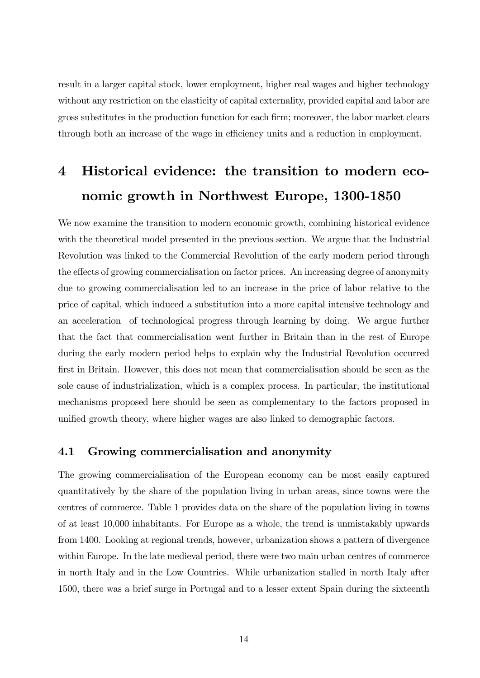result in a larger capital stock, lower employment, higher real wages and higher technology without any restriction on the elasticity of capital externality, provided capital and labor are gross substitutes in the production function for each firm; moreover, the labor market clears through both an increase of the wage in efficiency units and a reduction in employment.

# 4 Historical evidence: the transition to modern economic growth in Northwest Europe, 1300-1850

We now examine the transition to modern economic growth, combining historical evidence with the theoretical model presented in the previous section. We argue that the Industrial Revolution was linked to the Commercial Revolution of the early modern period through the effects of growing commercialisation on factor prices. An increasing degree of anonymity due to growing commercialisation led to an increase in the price of labor relative to the price of capital, which induced a substitution into a more capital intensive technology and an acceleration of technological progress through learning by doing. We argue further that the fact that commercialisation went further in Britain than in the rest of Europe during the early modern period helps to explain why the Industrial Revolution occurred first in Britain. However, this does not mean that commercialisation should be seen as the sole cause of industrialization, which is a complex process. In particular, the institutional mechanisms proposed here should be seen as complementary to the factors proposed in unified growth theory, where higher wages are also linked to demographic factors.

## 4.1 Growing commercialisation and anonymity

The growing commercialisation of the European economy can be most easily captured quantitatively by the share of the population living in urban areas, since towns were the centres of commerce. Table 1 provides data on the share of the population living in towns of at least 10,000 inhabitants. For Europe as a whole, the trend is unmistakably upwards from 1400. Looking at regional trends, however, urbanization shows a pattern of divergence within Europe. In the late medieval period, there were two main urban centres of commerce in north Italy and in the Low Countries. While urbanization stalled in north Italy after 1500, there was a brief surge in Portugal and to a lesser extent Spain during the sixteenth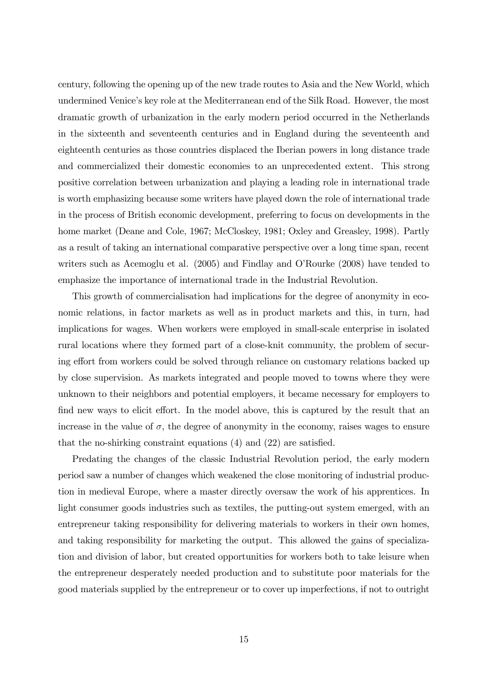century, following the opening up of the new trade routes to Asia and the New World, which undermined Venice's key role at the Mediterranean end of the Silk Road. However, the most dramatic growth of urbanization in the early modern period occurred in the Netherlands in the sixteenth and seventeenth centuries and in England during the seventeenth and eighteenth centuries as those countries displaced the Iberian powers in long distance trade and commercialized their domestic economies to an unprecedented extent. This strong positive correlation between urbanization and playing a leading role in international trade is worth emphasizing because some writers have played down the role of international trade in the process of British economic development, preferring to focus on developments in the home market (Deane and Cole, 1967; McCloskey, 1981; Oxley and Greasley, 1998). Partly as a result of taking an international comparative perspective over a long time span, recent writers such as Acemoglu et al. (2005) and Findlay and O'Rourke (2008) have tended to emphasize the importance of international trade in the Industrial Revolution.

This growth of commercialisation had implications for the degree of anonymity in economic relations, in factor markets as well as in product markets and this, in turn, had implications for wages. When workers were employed in small-scale enterprise in isolated rural locations where they formed part of a close-knit community, the problem of securing effort from workers could be solved through reliance on customary relations backed up by close supervision. As markets integrated and people moved to towns where they were unknown to their neighbors and potential employers, it became necessary for employers to find new ways to elicit effort. In the model above, this is captured by the result that an increase in the value of  $\sigma$ , the degree of anonymity in the economy, raises wages to ensure that the no-shirking constraint equations  $(4)$  and  $(22)$  are satisfied.

Predating the changes of the classic Industrial Revolution period, the early modern period saw a number of changes which weakened the close monitoring of industrial production in medieval Europe, where a master directly oversaw the work of his apprentices. In light consumer goods industries such as textiles, the putting-out system emerged, with an entrepreneur taking responsibility for delivering materials to workers in their own homes, and taking responsibility for marketing the output. This allowed the gains of specialization and division of labor, but created opportunities for workers both to take leisure when the entrepreneur desperately needed production and to substitute poor materials for the good materials supplied by the entrepreneur or to cover up imperfections, if not to outright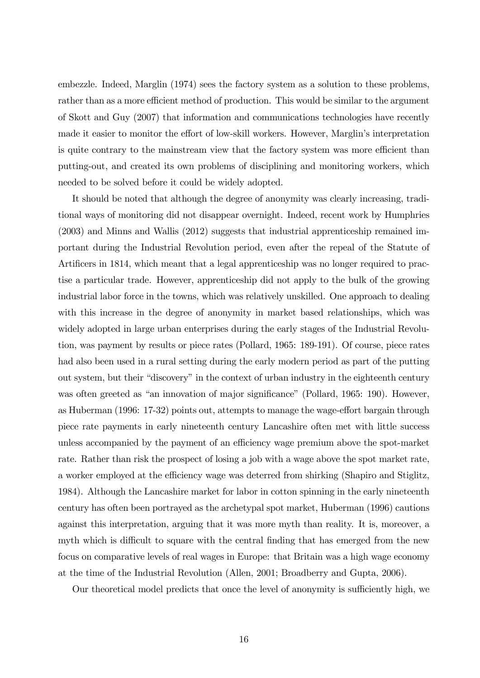embezzle. Indeed, Marglin (1974) sees the factory system as a solution to these problems, rather than as a more efficient method of production. This would be similar to the argument of Skott and Guy (2007) that information and communications technologies have recently made it easier to monitor the effort of low-skill workers. However, Marglin's interpretation is quite contrary to the mainstream view that the factory system was more efficient than putting-out, and created its own problems of disciplining and monitoring workers, which needed to be solved before it could be widely adopted.

It should be noted that although the degree of anonymity was clearly increasing, traditional ways of monitoring did not disappear overnight. Indeed, recent work by Humphries (2003) and Minns and Wallis (2012) suggests that industrial apprenticeship remained important during the Industrial Revolution period, even after the repeal of the Statute of Artificers in 1814, which meant that a legal apprenticeship was no longer required to practise a particular trade. However, apprenticeship did not apply to the bulk of the growing industrial labor force in the towns, which was relatively unskilled. One approach to dealing with this increase in the degree of anonymity in market based relationships, which was widely adopted in large urban enterprises during the early stages of the Industrial Revolution, was payment by results or piece rates (Pollard, 1965: 189-191). Of course, piece rates had also been used in a rural setting during the early modern period as part of the putting out system, but their "discovery" in the context of urban industry in the eighteenth century was often greeted as "an innovation of major significance" (Pollard, 1965: 190). However, as Huberman  $(1996: 17-32)$  points out, attempts to manage the wage-effort bargain through piece rate payments in early nineteenth century Lancashire often met with little success unless accompanied by the payment of an efficiency wage premium above the spot-market rate. Rather than risk the prospect of losing a job with a wage above the spot market rate, a worker employed at the efficiency wage was deterred from shirking (Shapiro and Stiglitz, 1984). Although the Lancashire market for labor in cotton spinning in the early nineteenth century has often been portrayed as the archetypal spot market, Huberman (1996) cautions against this interpretation, arguing that it was more myth than reality. It is, moreover, a myth which is difficult to square with the central finding that has emerged from the new focus on comparative levels of real wages in Europe: that Britain was a high wage economy at the time of the Industrial Revolution (Allen, 2001; Broadberry and Gupta, 2006).

Our theoretical model predicts that once the level of anonymity is sufficiently high, we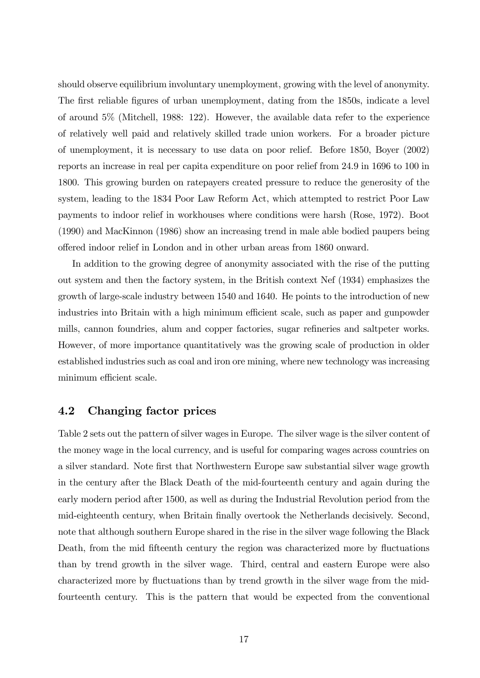should observe equilibrium involuntary unemployment, growing with the level of anonymity. The first reliable figures of urban unemployment, dating from the 1850s, indicate a level of around 5% (Mitchell, 1988: 122). However, the available data refer to the experience of relatively well paid and relatively skilled trade union workers. For a broader picture of unemployment, it is necessary to use data on poor relief. Before 1850, Boyer (2002) reports an increase in real per capita expenditure on poor relief from 24.9 in 1696 to 100 in 1800. This growing burden on ratepayers created pressure to reduce the generosity of the system, leading to the 1834 Poor Law Reform Act, which attempted to restrict Poor Law payments to indoor relief in workhouses where conditions were harsh (Rose, 1972). Boot (1990) and MacKinnon (1986) show an increasing trend in male able bodied paupers being o§ered indoor relief in London and in other urban areas from 1860 onward.

In addition to the growing degree of anonymity associated with the rise of the putting out system and then the factory system, in the British context Nef (1934) emphasizes the growth of large-scale industry between 1540 and 1640. He points to the introduction of new industries into Britain with a high minimum efficient scale, such as paper and gunpowder mills, cannon foundries, alum and copper factories, sugar refineries and saltpeter works. However, of more importance quantitatively was the growing scale of production in older established industries such as coal and iron ore mining, where new technology was increasing minimum efficient scale.

### 4.2 Changing factor prices

Table 2 sets out the pattern of silver wages in Europe. The silver wage is the silver content of the money wage in the local currency, and is useful for comparing wages across countries on a silver standard. Note first that Northwestern Europe saw substantial silver wage growth in the century after the Black Death of the mid-fourteenth century and again during the early modern period after 1500, as well as during the Industrial Revolution period from the mid-eighteenth century, when Britain finally overtook the Netherlands decisively. Second, note that although southern Europe shared in the rise in the silver wage following the Black Death, from the mid fifteenth century the region was characterized more by fluctuations than by trend growth in the silver wage. Third, central and eastern Europe were also characterized more by fluctuations than by trend growth in the silver wage from the midfourteenth century. This is the pattern that would be expected from the conventional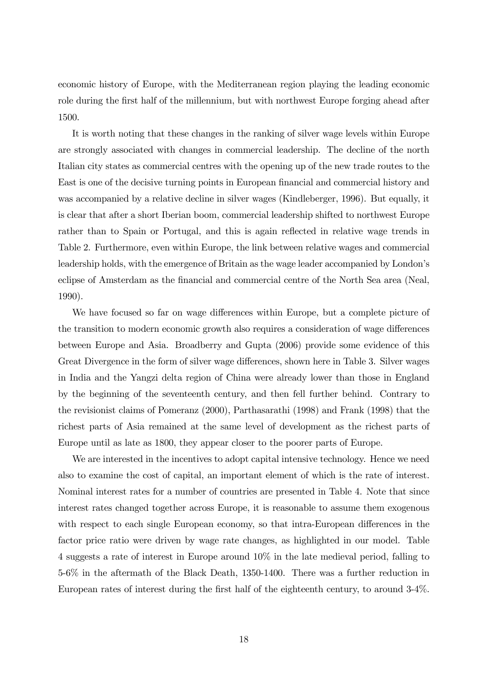economic history of Europe, with the Mediterranean region playing the leading economic role during the first half of the millennium, but with northwest Europe forging ahead after 1500.

It is worth noting that these changes in the ranking of silver wage levels within Europe are strongly associated with changes in commercial leadership. The decline of the north Italian city states as commercial centres with the opening up of the new trade routes to the East is one of the decisive turning points in European financial and commercial history and was accompanied by a relative decline in silver wages (Kindleberger, 1996). But equally, it is clear that after a short Iberian boom, commercial leadership shifted to northwest Europe rather than to Spain or Portugal, and this is again reflected in relative wage trends in Table 2. Furthermore, even within Europe, the link between relative wages and commercial leadership holds, with the emergence of Britain as the wage leader accompanied by London's eclipse of Amsterdam as the financial and commercial centre of the North Sea area (Neal, 1990).

We have focused so far on wage differences within Europe, but a complete picture of the transition to modern economic growth also requires a consideration of wage differences between Europe and Asia. Broadberry and Gupta (2006) provide some evidence of this Great Divergence in the form of silver wage differences, shown here in Table 3. Silver wages in India and the Yangzi delta region of China were already lower than those in England by the beginning of the seventeenth century, and then fell further behind. Contrary to the revisionist claims of Pomeranz (2000), Parthasarathi (1998) and Frank (1998) that the richest parts of Asia remained at the same level of development as the richest parts of Europe until as late as 1800, they appear closer to the poorer parts of Europe.

We are interested in the incentives to adopt capital intensive technology. Hence we need also to examine the cost of capital, an important element of which is the rate of interest. Nominal interest rates for a number of countries are presented in Table 4. Note that since interest rates changed together across Europe, it is reasonable to assume them exogenous with respect to each single European economy, so that intra-European differences in the factor price ratio were driven by wage rate changes, as highlighted in our model. Table 4 suggests a rate of interest in Europe around 10% in the late medieval period, falling to 5-6% in the aftermath of the Black Death, 1350-1400. There was a further reduction in European rates of interest during the first half of the eighteenth century, to around 3-4%.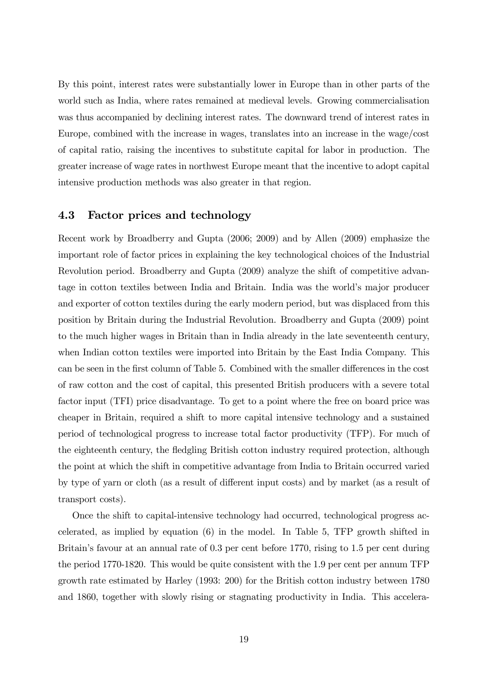By this point, interest rates were substantially lower in Europe than in other parts of the world such as India, where rates remained at medieval levels. Growing commercialisation was thus accompanied by declining interest rates. The downward trend of interest rates in Europe, combined with the increase in wages, translates into an increase in the wage/cost of capital ratio, raising the incentives to substitute capital for labor in production. The greater increase of wage rates in northwest Europe meant that the incentive to adopt capital intensive production methods was also greater in that region.

### 4.3 Factor prices and technology

Recent work by Broadberry and Gupta (2006; 2009) and by Allen (2009) emphasize the important role of factor prices in explaining the key technological choices of the Industrial Revolution period. Broadberry and Gupta (2009) analyze the shift of competitive advantage in cotton textiles between India and Britain. India was the world's major producer and exporter of cotton textiles during the early modern period, but was displaced from this position by Britain during the Industrial Revolution. Broadberry and Gupta (2009) point to the much higher wages in Britain than in India already in the late seventeenth century, when Indian cotton textiles were imported into Britain by the East India Company. This can be seen in the first column of Table 5. Combined with the smaller differences in the cost of raw cotton and the cost of capital, this presented British producers with a severe total factor input (TFI) price disadvantage. To get to a point where the free on board price was cheaper in Britain, required a shift to more capital intensive technology and a sustained period of technological progress to increase total factor productivity (TFP). For much of the eighteenth century, the fledgling British cotton industry required protection, although the point at which the shift in competitive advantage from India to Britain occurred varied by type of yarn or cloth (as a result of different input costs) and by market (as a result of transport costs).

Once the shift to capital-intensive technology had occurred, technological progress accelerated, as implied by equation (6) in the model. In Table 5, TFP growth shifted in Britain's favour at an annual rate of 0.3 per cent before 1770, rising to 1.5 per cent during the period 1770-1820. This would be quite consistent with the 1.9 per cent per annum TFP growth rate estimated by Harley (1993: 200) for the British cotton industry between 1780 and 1860, together with slowly rising or stagnating productivity in India. This accelera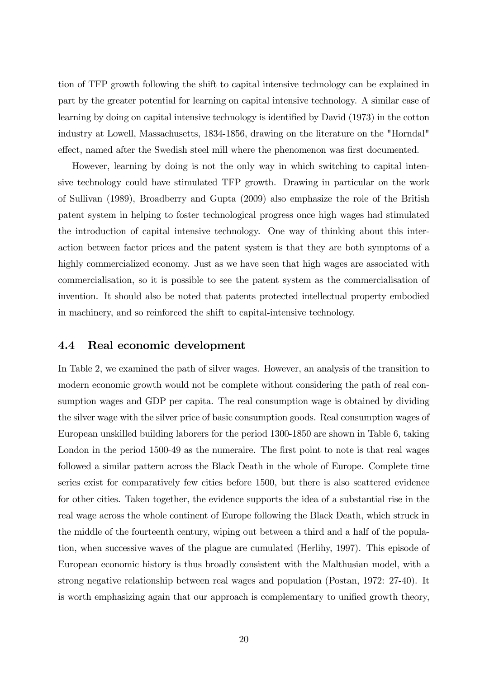tion of TFP growth following the shift to capital intensive technology can be explained in part by the greater potential for learning on capital intensive technology. A similar case of learning by doing on capital intensive technology is identified by David (1973) in the cotton industry at Lowell, Massachusetts, 1834-1856, drawing on the literature on the "Horndal" effect, named after the Swedish steel mill where the phenomenon was first documented.

However, learning by doing is not the only way in which switching to capital intensive technology could have stimulated TFP growth. Drawing in particular on the work of Sullivan (1989), Broadberry and Gupta (2009) also emphasize the role of the British patent system in helping to foster technological progress once high wages had stimulated the introduction of capital intensive technology. One way of thinking about this interaction between factor prices and the patent system is that they are both symptoms of a highly commercialized economy. Just as we have seen that high wages are associated with commercialisation, so it is possible to see the patent system as the commercialisation of invention. It should also be noted that patents protected intellectual property embodied in machinery, and so reinforced the shift to capital-intensive technology.

#### 4.4 Real economic development

In Table 2, we examined the path of silver wages. However, an analysis of the transition to modern economic growth would not be complete without considering the path of real consumption wages and GDP per capita. The real consumption wage is obtained by dividing the silver wage with the silver price of basic consumption goods. Real consumption wages of European unskilled building laborers for the period 1300-1850 are shown in Table 6, taking London in the period 1500-49 as the numeraire. The first point to note is that real wages followed a similar pattern across the Black Death in the whole of Europe. Complete time series exist for comparatively few cities before 1500, but there is also scattered evidence for other cities. Taken together, the evidence supports the idea of a substantial rise in the real wage across the whole continent of Europe following the Black Death, which struck in the middle of the fourteenth century, wiping out between a third and a half of the population, when successive waves of the plague are cumulated (Herlihy, 1997). This episode of European economic history is thus broadly consistent with the Malthusian model, with a strong negative relationship between real wages and population (Postan, 1972: 27-40). It is worth emphasizing again that our approach is complementary to unified growth theory,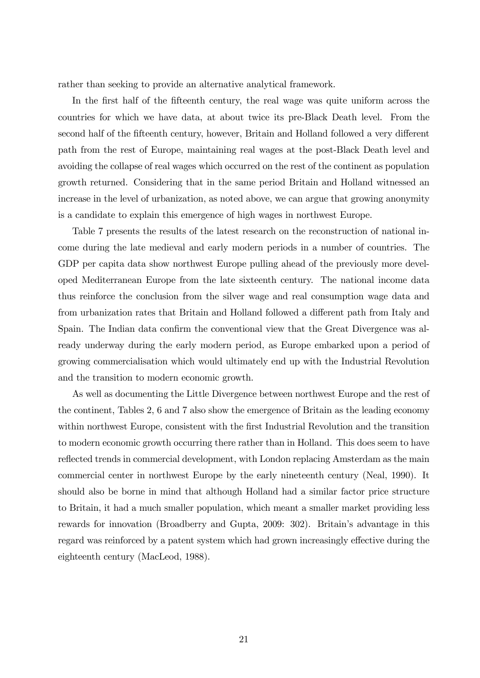rather than seeking to provide an alternative analytical framework.

In the first half of the fifteenth century, the real wage was quite uniform across the countries for which we have data, at about twice its pre-Black Death level. From the second half of the fifteenth century, however, Britain and Holland followed a very different path from the rest of Europe, maintaining real wages at the post-Black Death level and avoiding the collapse of real wages which occurred on the rest of the continent as population growth returned. Considering that in the same period Britain and Holland witnessed an increase in the level of urbanization, as noted above, we can argue that growing anonymity is a candidate to explain this emergence of high wages in northwest Europe.

Table 7 presents the results of the latest research on the reconstruction of national income during the late medieval and early modern periods in a number of countries. The GDP per capita data show northwest Europe pulling ahead of the previously more developed Mediterranean Europe from the late sixteenth century. The national income data thus reinforce the conclusion from the silver wage and real consumption wage data and from urbanization rates that Britain and Holland followed a different path from Italy and Spain. The Indian data confirm the conventional view that the Great Divergence was already underway during the early modern period, as Europe embarked upon a period of growing commercialisation which would ultimately end up with the Industrial Revolution and the transition to modern economic growth.

As well as documenting the Little Divergence between northwest Europe and the rest of the continent, Tables 2, 6 and 7 also show the emergence of Britain as the leading economy within northwest Europe, consistent with the first Industrial Revolution and the transition to modern economic growth occurring there rather than in Holland. This does seem to have reflected trends in commercial development, with London replacing Amsterdam as the main commercial center in northwest Europe by the early nineteenth century (Neal, 1990). It should also be borne in mind that although Holland had a similar factor price structure to Britain, it had a much smaller population, which meant a smaller market providing less rewards for innovation (Broadberry and Gupta, 2009: 302). Britain's advantage in this regard was reinforced by a patent system which had grown increasingly effective during the eighteenth century (MacLeod, 1988).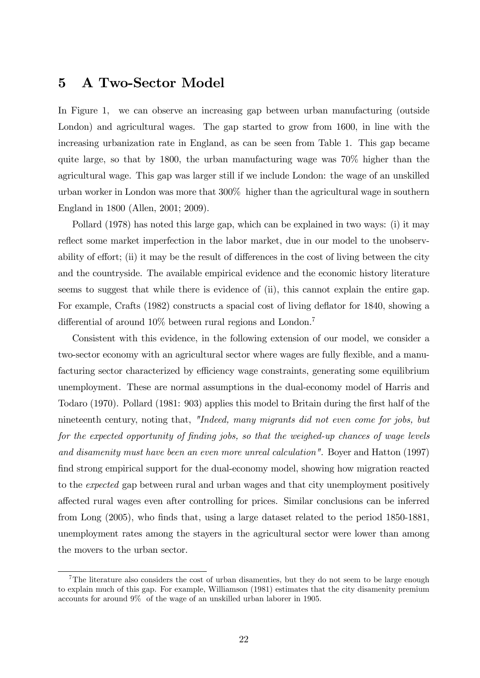## 5 A Two-Sector Model

In Figure 1, we can observe an increasing gap between urban manufacturing (outside London) and agricultural wages. The gap started to grow from 1600, in line with the increasing urbanization rate in England, as can be seen from Table 1. This gap became quite large, so that by 1800, the urban manufacturing wage was 70% higher than the agricultural wage. This gap was larger still if we include London: the wage of an unskilled urban worker in London was more that 300% higher than the agricultural wage in southern England in 1800 (Allen, 2001; 2009).

Pollard (1978) has noted this large gap, which can be explained in two ways: (i) it may reflect some market imperfection in the labor market, due in our model to the unobservability of effort; (ii) it may be the result of differences in the cost of living between the city and the countryside. The available empirical evidence and the economic history literature seems to suggest that while there is evidence of (ii), this cannot explain the entire gap. For example, Crafts (1982) constructs a spacial cost of living deflator for 1840, showing a differential of around  $10\%$  between rural regions and London.<sup>7</sup>

Consistent with this evidence, in the following extension of our model, we consider a two-sector economy with an agricultural sector where wages are fully flexible, and a manufacturing sector characterized by efficiency wage constraints, generating some equilibrium unemployment. These are normal assumptions in the dual-economy model of Harris and Todaro (1970). Pollard (1981: 903) applies this model to Britain during the first half of the nineteenth century, noting that, "Indeed, many migrants did not even come for jobs, but for the expected opportunity of finding jobs, so that the weighed-up chances of wage levels and disamenity must have been an even more unreal calculation". Boyer and Hatton (1997) find strong empirical support for the dual-economy model, showing how migration reacted to the expected gap between rural and urban wages and that city unemployment positively a§ected rural wages even after controlling for prices. Similar conclusions can be inferred from Long (2005), who finds that, using a large dataset related to the period 1850-1881. unemployment rates among the stayers in the agricultural sector were lower than among the movers to the urban sector.

<sup>&</sup>lt;sup>7</sup>The literature also considers the cost of urban disamenties, but they do not seem to be large enough to explain much of this gap. For example, Williamson (1981) estimates that the city disamenity premium accounts for around 9% of the wage of an unskilled urban laborer in 1905.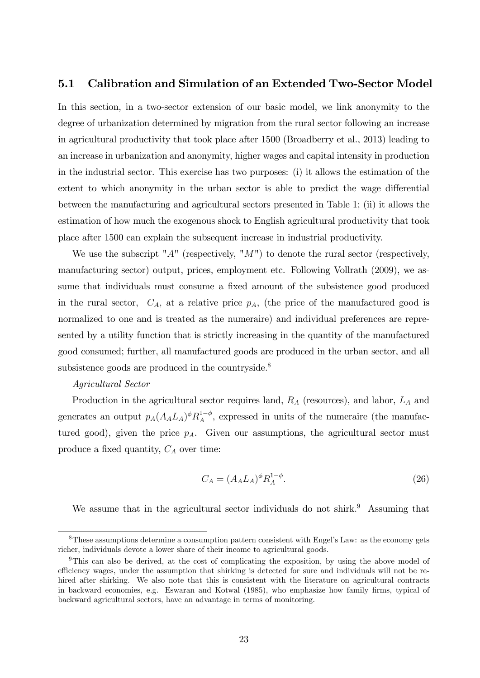### 5.1 Calibration and Simulation of an Extended Two-Sector Model

In this section, in a two-sector extension of our basic model, we link anonymity to the degree of urbanization determined by migration from the rural sector following an increase in agricultural productivity that took place after 1500 (Broadberry et al., 2013) leading to an increase in urbanization and anonymity, higher wages and capital intensity in production in the industrial sector. This exercise has two purposes: (i) it allows the estimation of the extent to which anonymity in the urban sector is able to predict the wage differential between the manufacturing and agricultural sectors presented in Table 1; (ii) it allows the estimation of how much the exogenous shock to English agricultural productivity that took place after 1500 can explain the subsequent increase in industrial productivity.

We use the subscript " $A$ " (respectively, " $M$ ") to denote the rural sector (respectively, manufacturing sector) output, prices, employment etc. Following Vollrath (2009), we assume that individuals must consume a fixed amount of the subsistence good produced in the rural sector,  $C_A$ , at a relative price  $p_A$ , (the price of the manufactured good is normalized to one and is treated as the numeraire) and individual preferences are represented by a utility function that is strictly increasing in the quantity of the manufactured good consumed; further, all manufactured goods are produced in the urban sector, and all subsistence goods are produced in the countryside.<sup>8</sup>

#### Agricultural Sector

Production in the agricultural sector requires land,  $R_A$  (resources), and labor,  $L_A$  and generates an output  $p_A(A_A L_A)^{\phi} R_A^{1-\phi}$ , expressed in units of the numeraire (the manufactured good), given the price  $p_A$ . Given our assumptions, the agricultural sector must produce a fixed quantity,  $C_A$  over time:

$$
C_A = (A_A L_A)^{\phi} R_A^{1-\phi}.
$$
\n
$$
(26)
$$

We assume that in the agricultural sector individuals do not shirk.<sup>9</sup> Assuming that

 $8$ These assumptions determine a consumption pattern consistent with Engel's Law: as the economy gets richer, individuals devote a lower share of their income to agricultural goods.

<sup>&</sup>lt;sup>9</sup>This can also be derived, at the cost of complicating the exposition, by using the above model of efficiency wages, under the assumption that shirking is detected for sure and individuals will not be rehired after shirking. We also note that this is consistent with the literature on agricultural contracts in backward economies, e.g. Eswaran and Kotwal (1985), who emphasize how family firms, typical of backward agricultural sectors, have an advantage in terms of monitoring.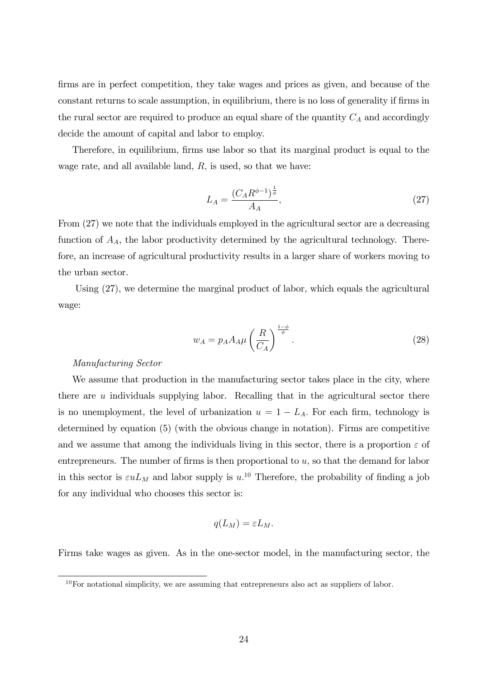firms are in perfect competition, they take wages and prices as given, and because of the constant returns to scale assumption, in equilibrium, there is no loss of generality if firms in the rural sector are required to produce an equal share of the quantity  $C_A$  and accordingly decide the amount of capital and labor to employ.

Therefore, in equilibrium, firms use labor so that its marginal product is equal to the wage rate, and all available land,  $R$ , is used, so that we have:

$$
L_A = \frac{(C_A R^{\phi - 1})^{\frac{1}{\phi}}}{A_A},
$$
\n(27)

From (27) we note that the individuals employed in the agricultural sector are a decreasing function of  $A<sub>A</sub>$ , the labor productivity determined by the agricultural technology. Therefore, an increase of agricultural productivity results in a larger share of workers moving to the urban sector.

Using (27), we determine the marginal product of labor, which equals the agricultural wage:

$$
w_A = p_A A_A \mu \left(\frac{R}{C_A}\right)^{\frac{1-\phi}{\phi}}.\tag{28}
$$

#### Manufacturing Sector

We assume that production in the manufacturing sector takes place in the city, where there are  $u$  individuals supplying labor. Recalling that in the agricultural sector there is no unemployment, the level of urbanization  $u = 1 - L_A$ . For each firm, technology is determined by equation (5) (with the obvious change in notation). Firms are competitive and we assume that among the individuals living in this sector, there is a proportion  $\varepsilon$  of entrepreneurs. The number of firms is then proportional to  $u$ , so that the demand for labor in this sector is  $\varepsilon u L_M$  and labor supply is  $u^{10}$ . Therefore, the probability of finding a job for any individual who chooses this sector is:

$$
q(L_M)=\varepsilon L_M.
$$

Firms take wages as given. As in the one-sector model, in the manufacturing sector, the

 $10$  For notational simplicity, we are assuming that entrepreneurs also act as suppliers of labor.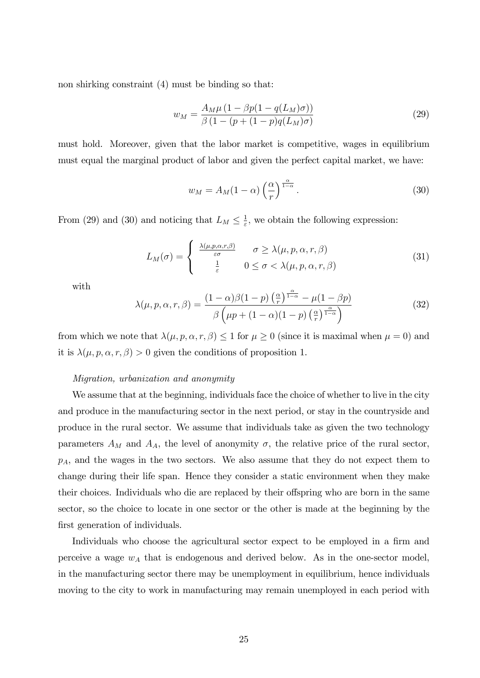non shirking constraint (4) must be binding so that:

$$
w_M = \frac{A_M \mu (1 - \beta p (1 - q(L_M)\sigma))}{\beta (1 - (p + (1 - p)q(L_M)\sigma)}
$$
(29)

must hold. Moreover, given that the labor market is competitive, wages in equilibrium must equal the marginal product of labor and given the perfect capital market, we have:

$$
w_M = A_M(1 - \alpha) \left(\frac{\alpha}{r}\right)^{\frac{\alpha}{1 - \alpha}}.
$$
\n(30)

From (29) and (30) and noticing that  $L_M \leq \frac{1}{\varepsilon}$  $\frac{1}{\varepsilon}$ , we obtain the following expression:

$$
L_M(\sigma) = \begin{cases} \frac{\lambda(\mu, p, \alpha, r, \beta)}{\varepsilon \sigma} & \sigma \geq \lambda(\mu, p, \alpha, r, \beta) \\ \frac{1}{\varepsilon} & 0 \leq \sigma < \lambda(\mu, p, \alpha, r, \beta) \end{cases}
$$
(31)

with

$$
\lambda(\mu, p, \alpha, r, \beta) = \frac{(1 - \alpha)\beta(1 - p)\left(\frac{\alpha}{r}\right)^{\frac{\alpha}{1 - \alpha}} - \mu(1 - \beta p)}{\beta\left(\mu p + (1 - \alpha)(1 - p)\left(\frac{\alpha}{r}\right)^{\frac{\alpha}{1 - \alpha}}\right)}
$$
(32)

from which we note that  $\lambda(\mu, p, \alpha, r, \beta) \leq 1$  for  $\mu \geq 0$  (since it is maximal when  $\mu = 0$ ) and it is  $\lambda(\mu, p, \alpha, r, \beta) > 0$  given the conditions of proposition 1.

#### Migration, urbanization and anonymity

We assume that at the beginning, individuals face the choice of whether to live in the city and produce in the manufacturing sector in the next period, or stay in the countryside and produce in the rural sector. We assume that individuals take as given the two technology parameters  $A_M$  and  $A_A$ , the level of anonymity  $\sigma$ , the relative price of the rural sector,  $p_A$ , and the wages in the two sectors. We also assume that they do not expect them to change during their life span. Hence they consider a static environment when they make their choices. Individuals who die are replaced by their offspring who are born in the same sector, so the choice to locate in one sector or the other is made at the beginning by the first generation of individuals.

Individuals who choose the agricultural sector expect to be employed in a firm and perceive a wage  $w_A$  that is endogenous and derived below. As in the one-sector model, in the manufacturing sector there may be unemployment in equilibrium, hence individuals moving to the city to work in manufacturing may remain unemployed in each period with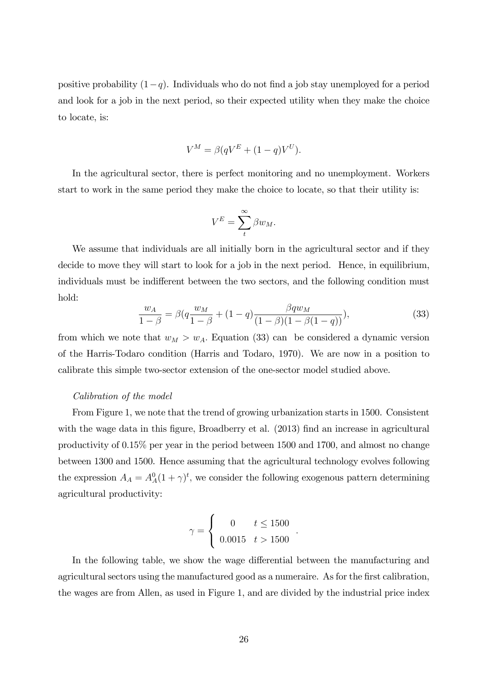positive probability  $(1-q)$ . Individuals who do not find a job stay unemployed for a period and look for a job in the next period, so their expected utility when they make the choice to locate, is:

$$
V^M = \beta(qV^E + (1-q)V^U).
$$

In the agricultural sector, there is perfect monitoring and no unemployment. Workers start to work in the same period they make the choice to locate, so that their utility is:

$$
V^E = \sum_{t}^{\infty} \beta w_M.
$$

We assume that individuals are all initially born in the agricultural sector and if they decide to move they will start to look for a job in the next period. Hence, in equilibrium, individuals must be indifferent between the two sectors, and the following condition must hold:

$$
\frac{w_A}{1-\beta} = \beta \left( q \frac{w_M}{1-\beta} + (1-q) \frac{\beta q w_M}{(1-\beta)(1-\beta(1-q))} \right),\tag{33}
$$

:

from which we note that  $w_M > w_A$ . Equation (33) can be considered a dynamic version of the Harris-Todaro condition (Harris and Todaro, 1970). We are now in a position to calibrate this simple two-sector extension of the one-sector model studied above.

#### Calibration of the model

From Figure 1, we note that the trend of growing urbanization starts in 1500. Consistent with the wage data in this figure, Broadberry et al. (2013) find an increase in agricultural productivity of 0.15% per year in the period between 1500 and 1700, and almost no change between 1300 and 1500. Hence assuming that the agricultural technology evolves following the expression  $A_A = A_A^0 (1 + \gamma)^t$ , we consider the following exogenous pattern determining agricultural productivity:

$$
\gamma = \begin{cases} 0 & t \le 1500 \\ 0.0015 & t > 1500 \end{cases}
$$

In the following table, we show the wage differential between the manufacturing and agricultural sectors using the manufactured good as a numeraire. As for the first calibration, the wages are from Allen, as used in Figure 1, and are divided by the industrial price index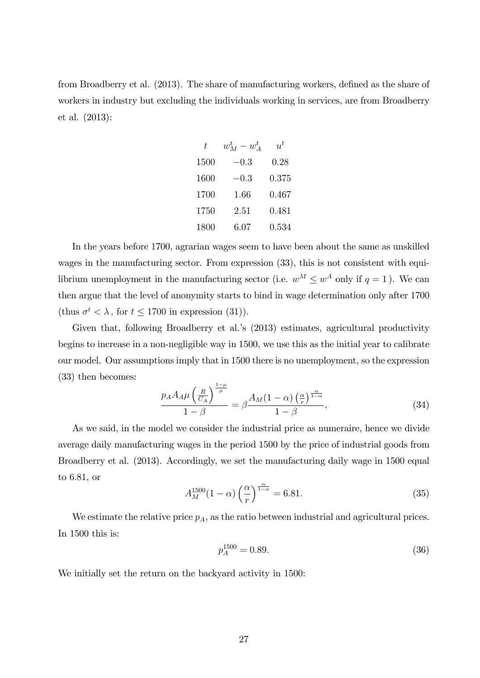from Broadberry et al. (2013). The share of manufacturing workers, defined as the share of workers in industry but excluding the individuals working in services, are from Broadberry et al. (2013):

| t.   | $w_M^t - w_A^t$ | $u^t$ |
|------|-----------------|-------|
| 1500 | $-0.3$          | 0.28  |
| 1600 | $-0.3$          | 0.375 |
| 1700 | 1.66            | 0.467 |
| 1750 | 2.51            | 0.481 |
| 1800 | 6.07            | 0.534 |

In the years before 1700, agrarian wages seem to have been about the same as unskilled wages in the manufacturing sector. From expression (33), this is not consistent with equilibrium unemployment in the manufacturing sector (i.e.  $w^M \leq w^A$  only if  $q = 1$ ). We can then argue that the level of anonymity starts to bind in wage determination only after 1700 (thus  $\sigma^t < \lambda$ , for  $t \le 1700$  in expression (31)).

Given that, following Broadberry et al.'s (2013) estimates, agricultural productivity begins to increase in a non-negligible way in 1500, we use this as the initial year to calibrate our model. Our assumptions imply that in 1500 there is no unemployment, so the expression (33) then becomes:

$$
\frac{p_A A_A \mu \left(\frac{R}{C_A}\right)^{\frac{1-\mu}{\mu}}}{1-\beta} = \beta \frac{A_M (1-\alpha) \left(\frac{\alpha}{r}\right)^{\frac{\alpha}{1-\alpha}}}{1-\beta},\tag{34}
$$

As we said, in the model we consider the industrial price as numeraire, hence we divide average daily manufacturing wages in the period 1500 by the price of industrial goods from Broadberry et al. (2013). Accordingly, we set the manufacturing daily wage in 1500 equal to  $6.81$ , or

$$
A_M^{1500}(1-\alpha)\left(\frac{\alpha}{r}\right)^{\frac{\alpha}{1-\alpha}} = 6.81.
$$
 (35)

We estimate the relative price  $p_A$ , as the ratio between industrial and agricultural prices. In 1500 this is:

$$
p_A^{1500} = 0.89.\t(36)
$$

We initially set the return on the backyard activity in 1500: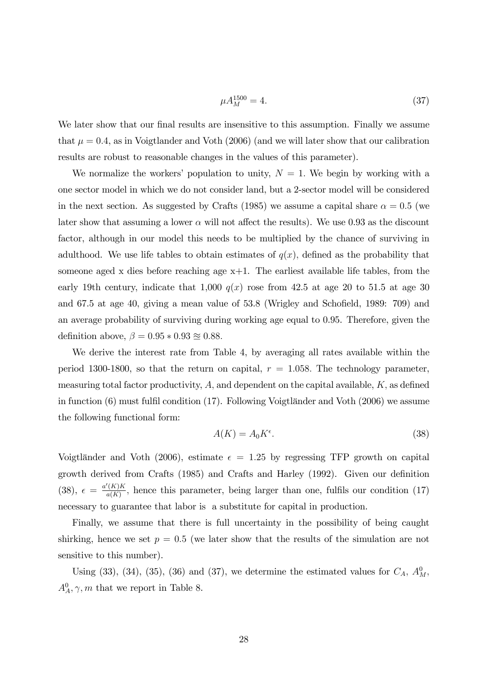$$
\mu A_M^{1500} = 4.\t(37)
$$

We later show that our final results are insensitive to this assumption. Finally we assume that  $\mu = 0.4$ , as in Voigtlander and Voth (2006) (and we will later show that our calibration results are robust to reasonable changes in the values of this parameter).

We normalize the workers' population to unity,  $N = 1$ . We begin by working with a one sector model in which we do not consider land, but a 2-sector model will be considered in the next section. As suggested by Crafts (1985) we assume a capital share  $\alpha = 0.5$  (we later show that assuming a lower  $\alpha$  will not affect the results). We use 0.93 as the discount factor, although in our model this needs to be multiplied by the chance of surviving in adulthood. We use life tables to obtain estimates of  $q(x)$ , defined as the probability that someone aged x dies before reaching age  $x+1$ . The earliest available life tables, from the early 19th century, indicate that 1,000  $q(x)$  rose from 42.5 at age 20 to 51.5 at age 30 and  $67.5$  at age  $40$ , giving a mean value of  $53.8$  (Wrigley and Schofield, 1989:  $709$ ) and an average probability of surviving during working age equal to 0.95. Therefore, given the definition above,  $\beta = 0.95 * 0.93 \approx 0.88$ .

We derive the interest rate from Table 4, by averaging all rates available within the period 1300-1800, so that the return on capital,  $r = 1.058$ . The technology parameter, measuring total factor productivity,  $A$ , and dependent on the capital available,  $K$ , as defined in function  $(6)$  must fulfil condition  $(17)$ . Following Voigtländer and Voth  $(2006)$  we assume the following functional form:

$$
A(K) = A_0 K^{\epsilon}.
$$
\n(38)

Voigtländer and Voth (2006), estimate  $\epsilon = 1.25$  by regressing TFP growth on capital growth derived from Crafts (1985) and Crafts and Harley (1992). Given our definition  $(38), \epsilon = \frac{a'(K)K}{a(K)}$  $\frac{(\mathbf{A})\mathbf{A}}{a(K)}$ , hence this parameter, being larger than one, fulfils our condition (17) necessary to guarantee that labor is a substitute for capital in production.

Finally, we assume that there is full uncertainty in the possibility of being caught shirking, hence we set  $p = 0.5$  (we later show that the results of the simulation are not sensitive to this number).

Using (33), (34), (35), (36) and (37), we determine the estimated values for  $C_A$ ,  $A_M^0$ ,  $A_A^0$ ,  $\gamma$ , *m* that we report in Table 8.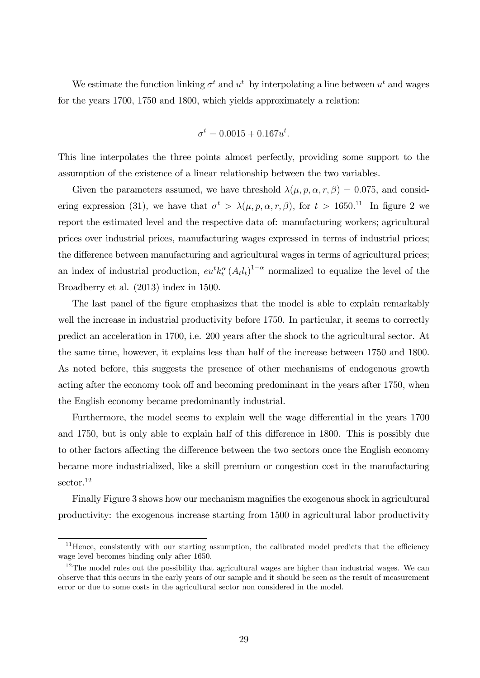We estimate the function linking  $\sigma^t$  and  $u^t$  by interpolating a line between  $u^t$  and wages for the years 1700, 1750 and 1800, which yields approximately a relation:

$$
\sigma^t = 0.0015 + 0.167u^t.
$$

This line interpolates the three points almost perfectly, providing some support to the assumption of the existence of a linear relationship between the two variables.

Given the parameters assumed, we have threshold  $\lambda(\mu, p, \alpha, r, \beta) = 0.075$ , and considering expression (31), we have that  $\sigma^t > \lambda(\mu, p, \alpha, r, \beta)$ , for  $t > 1650$ .<sup>11</sup> In figure 2 we report the estimated level and the respective data of: manufacturing workers; agricultural prices over industrial prices, manufacturing wages expressed in terms of industrial prices; the difference between manufacturing and agricultural wages in terms of agricultural prices; an index of industrial production,  $eu^t k_t^{\alpha} (A_t l_t)^{1-\alpha}$  normalized to equalize the level of the Broadberry et al. (2013) index in 1500.

The last panel of the figure emphasizes that the model is able to explain remarkably well the increase in industrial productivity before 1750. In particular, it seems to correctly predict an acceleration in 1700, i.e. 200 years after the shock to the agricultural sector. At the same time, however, it explains less than half of the increase between 1750 and 1800. As noted before, this suggests the presence of other mechanisms of endogenous growth acting after the economy took off and becoming predominant in the years after 1750, when the English economy became predominantly industrial.

Furthermore, the model seems to explain well the wage differential in the years 1700 and 1750, but is only able to explain half of this difference in 1800. This is possibly due to other factors affecting the difference between the two sectors once the English economy became more industrialized, like a skill premium or congestion cost in the manufacturing sector.<sup>12</sup>

Finally Figure 3 shows how our mechanism magnifies the exogenous shock in agricultural productivity: the exogenous increase starting from 1500 in agricultural labor productivity

 $11$  Hence, consistently with our starting assumption, the calibrated model predicts that the efficiency wage level becomes binding only after 1650.

 $12$ The model rules out the possibility that agricultural wages are higher than industrial wages. We can observe that this occurs in the early years of our sample and it should be seen as the result of measurement error or due to some costs in the agricultural sector non considered in the model.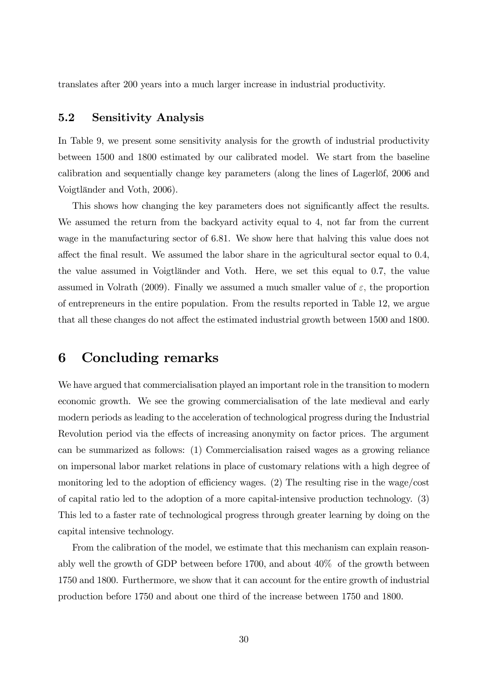translates after 200 years into a much larger increase in industrial productivity.

## 5.2 Sensitivity Analysis

In Table 9, we present some sensitivity analysis for the growth of industrial productivity between 1500 and 1800 estimated by our calibrated model. We start from the baseline calibration and sequentially change key parameters (along the lines of Lagerlöf, 2006 and Voigtländer and Voth, 2006).

This shows how changing the key parameters does not significantly affect the results. We assumed the return from the backyard activity equal to 4, not far from the current wage in the manufacturing sector of 6.81. We show here that halving this value does not affect the final result. We assumed the labor share in the agricultural sector equal to 0.4, the value assumed in Voigtländer and Voth. Here, we set this equal to 0.7, the value assumed in Volrath (2009). Finally we assumed a much smaller value of  $\varepsilon$ , the proportion of entrepreneurs in the entire population. From the results reported in Table 12, we argue that all these changes do not affect the estimated industrial growth between 1500 and 1800.

## 6 Concluding remarks

We have argued that commercialisation played an important role in the transition to modern economic growth. We see the growing commercialisation of the late medieval and early modern periods as leading to the acceleration of technological progress during the Industrial Revolution period via the effects of increasing anonymity on factor prices. The argument can be summarized as follows: (1) Commercialisation raised wages as a growing reliance on impersonal labor market relations in place of customary relations with a high degree of monitoring led to the adoption of efficiency wages.  $(2)$  The resulting rise in the wage/cost of capital ratio led to the adoption of a more capital-intensive production technology. (3) This led to a faster rate of technological progress through greater learning by doing on the capital intensive technology.

From the calibration of the model, we estimate that this mechanism can explain reasonably well the growth of GDP between before 1700, and about 40% of the growth between 1750 and 1800. Furthermore, we show that it can account for the entire growth of industrial production before 1750 and about one third of the increase between 1750 and 1800.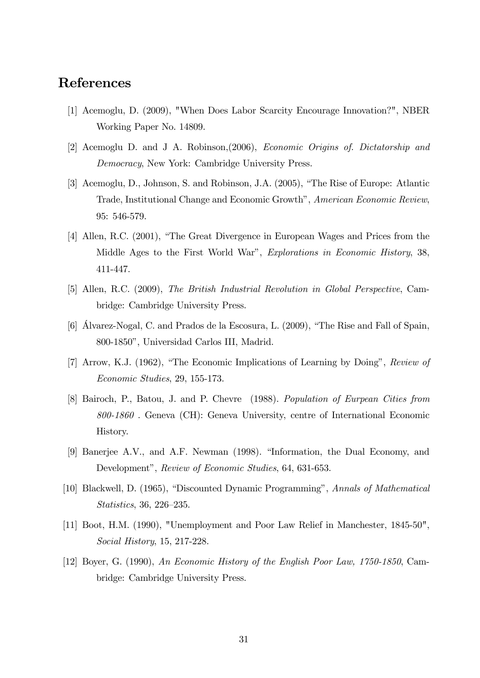# References

- [1] Acemoglu, D. (2009), "When Does Labor Scarcity Encourage Innovation?", NBER Working Paper No. 14809.
- [2] Acemoglu D. and J A. Robinson,(2006), Economic Origins of. Dictatorship and Democracy, New York: Cambridge University Press.
- [3] Acemoglu, D., Johnson, S. and Robinson, J.A. (2005), "The Rise of Europe: Atlantic Trade, Institutional Change and Economic Growth", American Economic Review, 95: 546-579.
- [4] Allen, R.C. (2001), "The Great Divergence in European Wages and Prices from the Middle Ages to the First World War", Explorations in Economic History, 38, 411-447.
- [5] Allen, R.C. (2009), The British Industrial Revolution in Global Perspective, Cambridge: Cambridge University Press.
- [6] Alvarez-Nogal, C. and Prados de la Escosura, L. (2009), "The Rise and Fall of Spain, 800-1850î, Universidad Carlos III, Madrid.
- [7] Arrow, K.J. (1962), "The Economic Implications of Learning by Doing", Review of Economic Studies, 29, 155-173.
- [8] Bairoch, P., Batou, J. and P. Chevre (1988). Population of Eurpean Cities from 800-1860 . Geneva (CH): Geneva University, centre of International Economic History.
- [9] Banerjee A.V., and A.F. Newman (1998). "Information, the Dual Economy, and Development", Review of Economic Studies, 64, 631-653.
- [10] Blackwell, D. (1965), "Discounted Dynamic Programming", Annals of Mathematical  $Statistics, 36, 226–235.$
- [11] Boot, H.M. (1990), "Unemployment and Poor Law Relief in Manchester, 1845-50", Social History, 15, 217-228.
- [12] Boyer, G. (1990), An Economic History of the English Poor Law, 1750-1850, Cambridge: Cambridge University Press.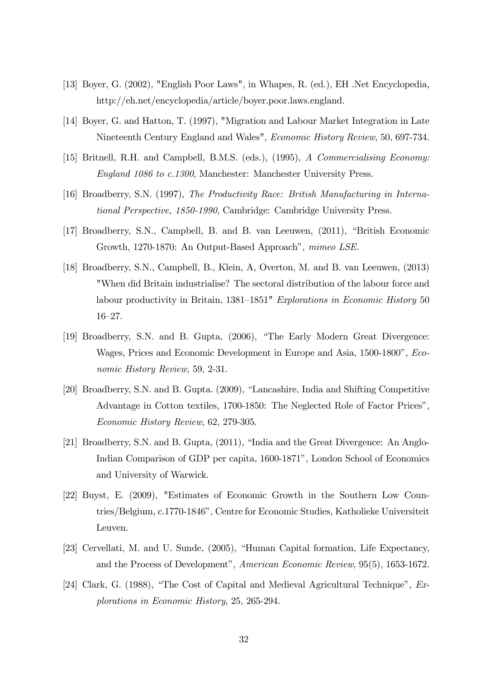- [13] Boyer, G. (2002), "English Poor Laws", in Whapes, R. (ed.), EH .Net Encyclopedia, http://eh.net/encyclopedia/article/boyer.poor.laws.england.
- [14] Boyer, G. and Hatton, T. (1997), "Migration and Labour Market Integration in Late Nineteenth Century England and Wales", Economic History Review, 50, 697-734.
- [15] Britnell, R.H. and Campbell, B.M.S. (eds.), (1995), A Commercialising Economy: England 1086 to c.1300, Manchester: Manchester University Press.
- [16] Broadberry, S.N. (1997), The Productivity Race: British Manufacturing in International Perspective, 1850-1990, Cambridge: Cambridge University Press.
- [17] Broadberry, S.N., Campbell, B. and B. van Leeuwen, (2011), "British Economic Growth, 1270-1870: An Output-Based Approach", mimeo LSE.
- [18] Broadberry, S.N., Campbell, B., Klein, A, Overton, M. and B. van Leeuwen, (2013) "When did Britain industrialise? The sectoral distribution of the labour force and labour productivity in Britain,  $1381-1851$ " Explorations in Economic History 50  $16 - 27$ .
- [19] Broadberry, S.N. and B. Gupta, (2006), "The Early Modern Great Divergence: Wages, Prices and Economic Development in Europe and Asia, 1500-1800", *Eco*nomic History Review, 59, 2-31.
- [20] Broadberry, S.N. and B. Gupta. (2009), "Lancashire, India and Shifting Competitive Advantage in Cotton textiles, 1700-1850: The Neglected Role of Factor Prices". Economic History Review, 62, 279-305.
- [21] Broadberry, S.N. and B. Gupta, (2011), "India and the Great Divergence: An Anglo-Indian Comparison of GDP per capita, 1600-1871", London School of Economics and University of Warwick.
- [22] Buyst, E. (2009), "Estimates of Economic Growth in the Southern Low Countries/Belgium, c.1770-1846<sup>*n*</sup>, Centre for Economic Studies, Katholieke Universiteit Leuven.
- [23] Cervellati, M. and U. Sunde,  $(2005)$ , "Human Capital formation, Life Expectancy, and the Process of Development", American Economic Review, 95(5), 1653-1672.
- [24] Clark, G. (1988), "The Cost of Capital and Medieval Agricultural Technique",  $Ex$ plorations in Economic History, 25, 265-294.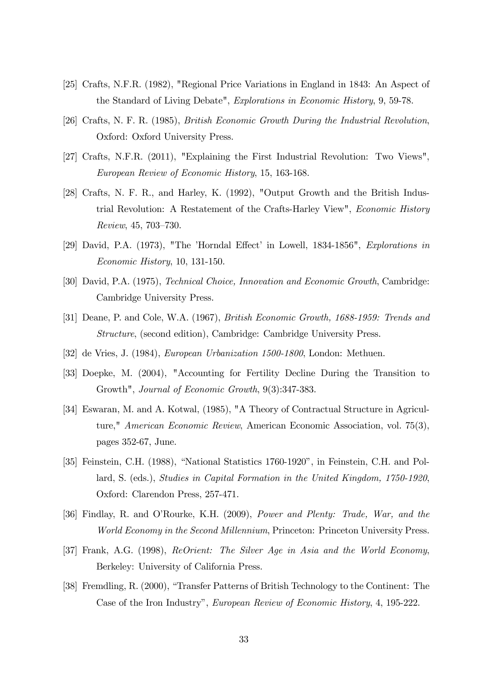- [25] Crafts, N.F.R. (1982), "Regional Price Variations in England in 1843: An Aspect of the Standard of Living Debate", Explorations in Economic History, 9, 59-78.
- [26] Crafts, N. F. R. (1985), British Economic Growth During the Industrial Revolution, Oxford: Oxford University Press.
- [27] Crafts, N.F.R. (2011), "Explaining the First Industrial Revolution: Two Views", European Review of Economic History, 15, 163-168.
- [28] Crafts, N. F. R., and Harley, K. (1992), "Output Growth and the British Industrial Revolution: A Restatement of the Crafts-Harley View", Economic History Review, 45, 703-730.
- [29] David, P.A.  $(1973)$ , "The 'Horndal Effect' in Lowell,  $1834-1856$ ", *Explorations in* Economic History, 10, 131-150.
- [30] David, P.A. (1975), Technical Choice, Innovation and Economic Growth, Cambridge: Cambridge University Press.
- [31] Deane, P. and Cole, W.A. (1967), British Economic Growth, 1688-1959: Trends and Structure, (second edition), Cambridge: Cambridge University Press.
- [32] de Vries, J. (1984), European Urbanization 1500-1800, London: Methuen.
- [33] Doepke, M. (2004), "Accounting for Fertility Decline During the Transition to Growth", Journal of Economic Growth, 9(3):347-383.
- [34] Eswaran, M. and A. Kotwal, (1985), "A Theory of Contractual Structure in Agriculture," American Economic Review, American Economic Association, vol. 75(3), pages 352-67, June.
- [35] Feinstein, C.H. (1988), "National Statistics 1760-1920", in Feinstein, C.H. and Pollard, S. (eds.), Studies in Capital Formation in the United Kingdom, 1750-1920, Oxford: Clarendon Press, 257-471.
- [36] Findlay, R. and O'Rourke, K.H. (2009), Power and Plenty: Trade, War, and the World Economy in the Second Millennium, Princeton: Princeton University Press.
- [37] Frank, A.G. (1998), ReOrient: The Silver Age in Asia and the World Economy, Berkeley: University of California Press.
- [38] Fremdling, R. (2000), "Transfer Patterns of British Technology to the Continent: The Case of the Iron Industry", European Review of Economic History, 4, 195-222.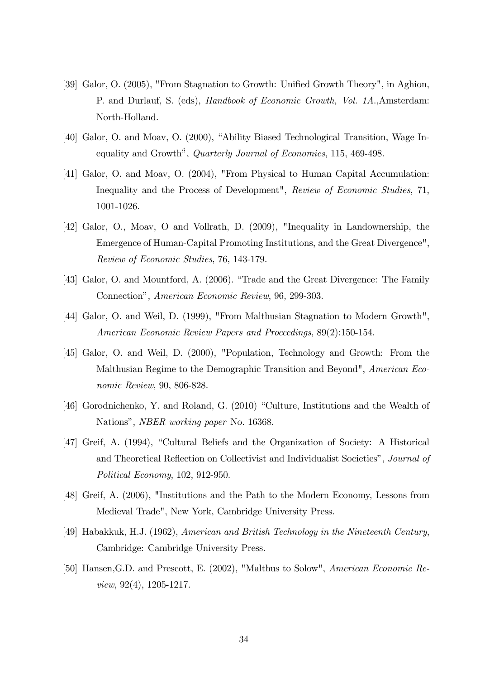- [39] Galor, O. (2005), "From Stagnation to Growth: Unified Growth Theory", in Aghion, P. and Durlauf, S. (eds), Handbook of Economic Growth, Vol. 1A.,Amsterdam: North-Holland.
- [40] Galor, O. and Moav, O. (2000), "Ability Biased Technological Transition, Wage Inequality and Growth<sup>"</sup>, *Quarterly Journal of Economics*, 115, 469-498.
- [41] Galor, O. and Moav, O. (2004), "From Physical to Human Capital Accumulation: Inequality and the Process of Development", Review of Economic Studies, 71, 1001-1026.
- [42] Galor, O., Moav, O and Vollrath, D. (2009), "Inequality in Landownership, the Emergence of Human-Capital Promoting Institutions, and the Great Divergence", Review of Economic Studies, 76, 143-179.
- [43] Galor, O. and Mountford, A. (2006). "Trade and the Great Divergence: The Family Connectionî, American Economic Review, 96, 299-303.
- [44] Galor, O. and Weil, D. (1999), "From Malthusian Stagnation to Modern Growth", American Economic Review Papers and Proceedings, 89(2):150-154.
- [45] Galor, O. and Weil, D. (2000), "Population, Technology and Growth: From the Malthusian Regime to the Demographic Transition and Beyond", American Economic Review, 90, 806-828.
- $[46]$  Gorodnichenko, Y. and Roland, G.  $(2010)$  "Culture, Institutions and the Wealth of Nations", *NBER working paper* No. 16368.
- [47] Greif, A. (1994), "Cultural Beliefs and the Organization of Society: A Historical and Theoretical Reflection on Collectivist and Individualist Societies", Journal of Political Economy, 102, 912-950.
- [48] Greif, A. (2006), "Institutions and the Path to the Modern Economy, Lessons from Medieval Trade", New York, Cambridge University Press.
- [49] Habakkuk, H.J. (1962), American and British Technology in the Nineteenth Century, Cambridge: Cambridge University Press.
- [50] Hansen,G.D. and Prescott, E. (2002), "Malthus to Solow", American Economic Review, 92(4), 1205-1217.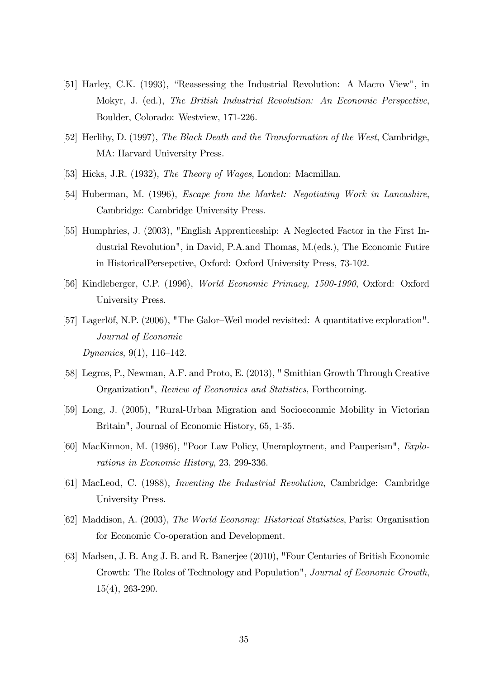- [51] Harley, C.K. (1993), "Reassessing the Industrial Revolution: A Macro View", in Mokyr, J. (ed.), The British Industrial Revolution: An Economic Perspective, Boulder, Colorado: Westview, 171-226.
- [52] Herlihy, D. (1997), The Black Death and the Transformation of the West, Cambridge, MA: Harvard University Press.
- [53] Hicks, J.R. (1932), *The Theory of Wages*, London: Macmillan.
- [54] Huberman, M. (1996), Escape from the Market: Negotiating Work in Lancashire, Cambridge: Cambridge University Press.
- [55] Humphries, J. (2003), "English Apprenticeship: A Neglected Factor in the First Industrial Revolution", in David, P.A.and Thomas, M.(eds.), The Economic Futire in HistoricalPersepctive, Oxford: Oxford University Press, 73-102.
- [56] Kindleberger, C.P. (1996), World Economic Primacy, 1500-1990, Oxford: Oxford University Press.
- [57] Lagerlöf, N.P. (2006), "The Galor–Weil model revisited: A quantitative exploration". Journal of Economic Dynamics, 9(1), 116–142.
- [58] Legros, P., Newman, A.F. and Proto, E. (2013), " Smithian Growth Through Creative Organization", Review of Economics and Statistics, Forthcoming.
- [59] Long, J. (2005), "Rural-Urban Migration and Socioeconmic Mobility in Victorian Britain", Journal of Economic History, 65, 1-35.
- [60] MacKinnon, M. (1986), "Poor Law Policy, Unemployment, and Pauperism", Explorations in Economic History, 23, 299-336.
- [61] MacLeod, C. (1988), Inventing the Industrial Revolution, Cambridge: Cambridge University Press.
- [62] Maddison, A. (2003), The World Economy: Historical Statistics, Paris: Organisation for Economic Co-operation and Development.
- [63] Madsen, J. B. Ang J. B. and R. Banerjee (2010), "Four Centuries of British Economic Growth: The Roles of Technology and Population", Journal of Economic Growth, 15(4), 263-290.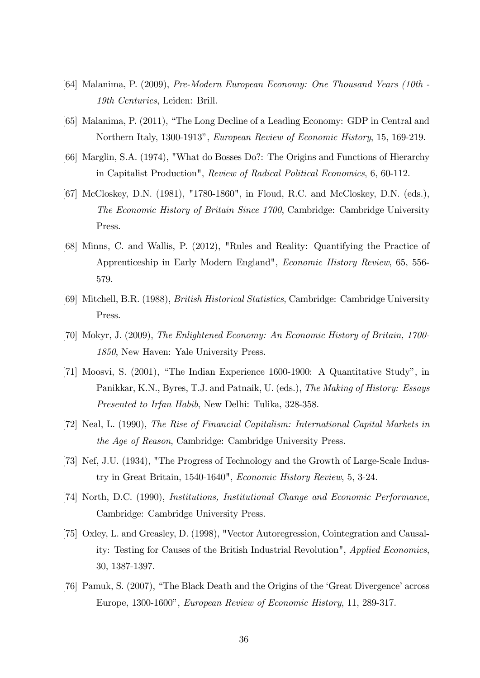- [64] Malanima, P. (2009), Pre-Modern European Economy: One Thousand Years (10th 19th Centuries, Leiden: Brill.
- [65] Malanima, P. (2011), "The Long Decline of a Leading Economy: GDP in Central and Northern Italy, 1300-1913", European Review of Economic History, 15, 169-219.
- [66] Marglin, S.A. (1974), "What do Bosses Do?: The Origins and Functions of Hierarchy in Capitalist Production", Review of Radical Political Economics, 6, 60-112.
- [67] McCloskey, D.N. (1981), "1780-1860", in Floud, R.C. and McCloskey, D.N. (eds.), The Economic History of Britain Since 1700, Cambridge: Cambridge University Press.
- [68] Minns, C. and Wallis, P. (2012), "Rules and Reality: Quantifying the Practice of Apprenticeship in Early Modern England", Economic History Review, 65, 556- 579.
- [69] Mitchell, B.R. (1988), British Historical Statistics, Cambridge: Cambridge University Press.
- [70] Mokyr, J. (2009), The Enlightened Economy: An Economic History of Britain, 1700- 1850, New Haven: Yale University Press.
- [71] Moosvi, S.  $(2001)$ , "The Indian Experience 1600-1900: A Quantitative Study", in Panikkar, K.N., Byres, T.J. and Patnaik, U. (eds.), The Making of History: Essays Presented to Irfan Habib, New Delhi: Tulika, 328-358.
- [72] Neal, L. (1990), The Rise of Financial Capitalism: International Capital Markets in the Age of Reason, Cambridge: Cambridge University Press.
- [73] Nef, J.U. (1934), "The Progress of Technology and the Growth of Large-Scale Industry in Great Britain, 1540-1640", Economic History Review, 5, 3-24.
- [74] North, D.C. (1990), Institutions, Institutional Change and Economic Performance, Cambridge: Cambridge University Press.
- [75] Oxley, L. and Greasley, D. (1998), "Vector Autoregression, Cointegration and Causality: Testing for Causes of the British Industrial Revolution", Applied Economics, 30, 1387-1397.
- [76] Pamuk, S. (2007), "The Black Death and the Origins of the 'Great Divergence' across Europe, 1300-1600", European Review of Economic History, 11, 289-317.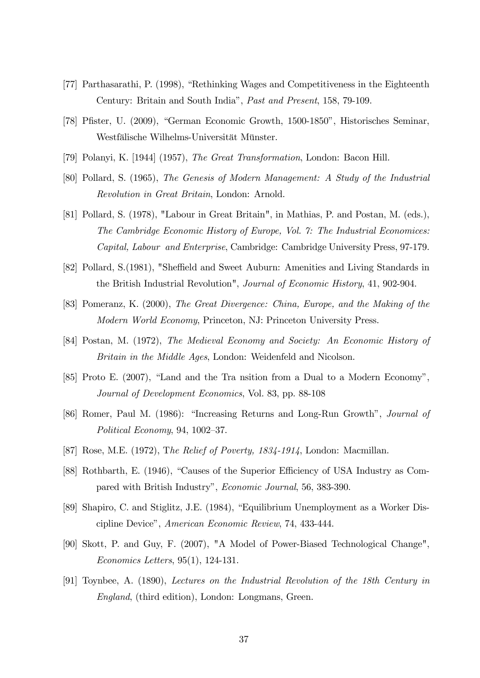- [77] Parthasarathi, P. (1998), "Rethinking Wages and Competitiveness in the Eighteenth Century: Britain and South Indiaî, Past and Present, 158, 79-109.
- [78] Pfister, U. (2009), "German Economic Growth, 1500-1850", Historisches Seminar, Westfälische Wilhelms-Universität Münster.
- [79] Polanyi, K. [1944] (1957), The Great Transformation, London: Bacon Hill.
- [80] Pollard, S. (1965), The Genesis of Modern Management: A Study of the Industrial Revolution in Great Britain, London: Arnold.
- [81] Pollard, S. (1978), "Labour in Great Britain", in Mathias, P. and Postan, M. (eds.), The Cambridge Economic History of Europe, Vol. 7: The Industrial Economices: Capital, Labour and Enterprise, Cambridge: Cambridge University Press, 97-179.
- [82] Pollard, S. (1981), "Sheffield and Sweet Auburn: Amenities and Living Standards in the British Industrial Revolution", Journal of Economic History, 41, 902-904.
- [83] Pomeranz, K. (2000), The Great Divergence: China, Europe, and the Making of the Modern World Economy, Princeton, NJ: Princeton University Press.
- [84] Postan, M. (1972), The Medieval Economy and Society: An Economic History of Britain in the Middle Ages, London: Weidenfeld and Nicolson.
- [85] Proto E.  $(2007)$ , "Land and the Tra nsition from a Dual to a Modern Economy", Journal of Development Economics, Vol. 83, pp. 88-108
- [86] Romer, Paul M. (1986): "Increasing Returns and Long-Run Growth", Journal of Political Economy, 94, 1002–37.
- [87] Rose, M.E. (1972), The Relief of Poverty, 1834-1914, London: Macmillan.
- [88] Rothbarth, E. (1946), "Causes of the Superior Efficiency of USA Industry as Compared with British Industry", *Economic Journal*, 56, 383-390.
- [89] Shapiro, C. and Stiglitz, J.E. (1984), "Equilibrium Unemployment as a Worker Discipline Device", American Economic Review, 74, 433-444.
- [90] Skott, P. and Guy, F. (2007), "A Model of Power-Biased Technological Change", Economics Letters, 95(1), 124-131.
- [91] Toynbee, A. (1890), Lectures on the Industrial Revolution of the 18th Century in England, (third edition), London: Longmans, Green.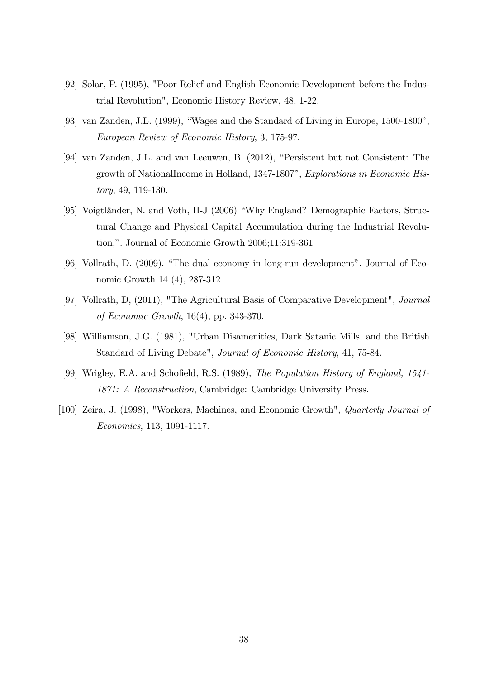- [92] Solar, P. (1995), "Poor Relief and English Economic Development before the Industrial Revolution", Economic History Review, 48, 1-22.
- [93] van Zanden, J.L.  $(1999)$ , "Wages and the Standard of Living in Europe, 1500-1800", European Review of Economic History, 3, 175-97.
- [94] van Zanden, J.L. and van Leeuwen, B. (2012), "Persistent but not Consistent: The growth of NationalIncome in Holland, 1347-1807", Explorations in Economic History, 49, 119-130.
- [95] Voigtländer, N. and Voth, H-J (2006) "Why England? Demographic Factors, Structural Change and Physical Capital Accumulation during the Industrial Revolution,". Journal of Economic Growth 2006;11:319-361
- [96] Vollrath, D.  $(2009)$ . "The dual economy in long-run development". Journal of Economic Growth 14 (4), 287-312
- [97] Vollrath, D, (2011), "The Agricultural Basis of Comparative Development", Journal of Economic Growth, 16(4), pp. 343-370.
- [98] Williamson, J.G. (1981), "Urban Disamenities, Dark Satanic Mills, and the British Standard of Living Debate", Journal of Economic History, 41, 75-84.
- [99] Wrigley, E.A. and Schofield, R.S. (1989), The Population History of England, 1541-1871: A Reconstruction, Cambridge: Cambridge University Press.
- [100] Zeira, J. (1998), "Workers, Machines, and Economic Growth", Quarterly Journal of Economics, 113, 1091-1117.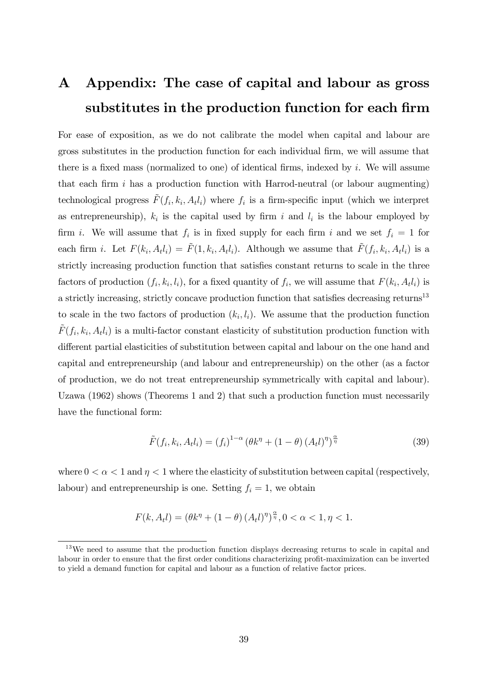# A Appendix: The case of capital and labour as gross substitutes in the production function for each firm

For ease of exposition, as we do not calibrate the model when capital and labour are gross substitutes in the production function for each individual Örm, we will assume that there is a fixed mass (normalized to one) of identical firms, indexed by  $i$ . We will assume that each firm  $i$  has a production function with Harrod-neutral (or labour augmenting) technological progress  $\tilde{F}(f_i, k_i, A_t l_i)$  where  $f_i$  is a firm-specific input (which we interpret as entrepreneurship),  $k_i$  is the capital used by firm i and  $l_i$  is the labour employed by firm *i*. We will assume that  $f_i$  is in fixed supply for each firm *i* and we set  $f_i = 1$  for each firm *i*. Let  $F(k_i, A_t l_i) = \tilde{F}(1, k_i, A_t l_i)$ . Although we assume that  $\tilde{F}(f_i, k_i, A_t l_i)$  is a strictly increasing production function that satisfies constant returns to scale in the three factors of production  $(f_i, k_i, l_i)$ , for a fixed quantity of  $f_i$ , we will assume that  $F(k_i, A_t l_i)$  is a strictly increasing, strictly concave production function that satisfies decreasing returns<sup>13</sup> to scale in the two factors of production  $(k_i, l_i)$ . We assume that the production function  $\tilde{F}(f_i, k_i, A_t l_i)$  is a multi-factor constant elasticity of substitution production function with different partial elasticities of substitution between capital and labour on the one hand and capital and entrepreneurship (and labour and entrepreneurship) on the other (as a factor of production, we do not treat entrepreneurship symmetrically with capital and labour). Uzawa (1962) shows (Theorems 1 and 2) that such a production function must necessarily have the functional form:

$$
\tilde{F}(f_i, k_i, A_t l_i) = (f_i)^{1-\alpha} \left(\theta k^{\eta} + (1-\theta) \left(A_t l\right)^{\eta}\right)^{\frac{\alpha}{\eta}}
$$
\n(39)

where  $0 < \alpha < 1$  and  $\eta < 1$  where the elasticity of substitution between capital (respectively, labour) and entrepreneurship is one. Setting  $f_i = 1$ , we obtain

$$
F(k, A_t l) = \left(\theta k^{\eta} + (1 - \theta) \left(A_t l\right)^{\eta}\right)^{\frac{\alpha}{\eta}}, 0 < \alpha < 1, \eta < 1.
$$

<sup>&</sup>lt;sup>13</sup>We need to assume that the production function displays decreasing returns to scale in capital and labour in order to ensure that the first order conditions characterizing profit-maximization can be inverted to yield a demand function for capital and labour as a function of relative factor prices.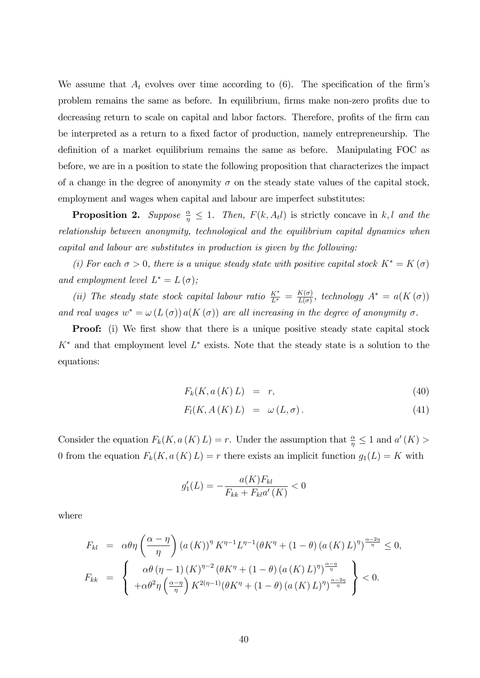We assume that  $A_t$  evolves over time according to (6). The specification of the firm's problem remains the same as before. In equilibrium, firms make non-zero profits due to decreasing return to scale on capital and labor factors. Therefore, profits of the firm can be interpreted as a return to a fixed factor of production, namely entrepreneurship. The definition of a market equilibrium remains the same as before. Manipulating FOC as before, we are in a position to state the following proposition that characterizes the impact of a change in the degree of anonymity  $\sigma$  on the steady state values of the capital stock, employment and wages when capital and labour are imperfect substitutes:

**Proposition 2.** Suppose  $\frac{\alpha}{\eta} \leq 1$ . Then,  $F(k, A_t)$  is strictly concave in k, l and the relationship between anonymity, technological and the equilibrium capital dynamics when capital and labour are substitutes in production is given by the following:

(i) For each  $\sigma > 0$ , there is a unique steady state with positive capital stock  $K^* = K(\sigma)$ and employment level  $L^* = L(\sigma)$ ;

(ii) The steady state stock capital labour ratio  $\frac{K^*}{L^*} = \frac{K(\sigma)}{L(\sigma)}$  $\frac{K(\sigma)}{L(\sigma)}$ , technology  $A^* = a(K(\sigma))$ and real wages  $w^* = \omega(L(\sigma)) a(K(\sigma))$  are all increasing in the degree of anonymity  $\sigma$ .

**Proof:** (i) We first show that there is a unique positive steady state capital stock  $K^*$  and that employment level  $L^*$  exists. Note that the steady state is a solution to the equations:

$$
F_k(K, a(K) L) = r,\t\t(40)
$$

$$
F_l(K, A(K)L) = \omega(L, \sigma). \tag{41}
$$

Consider the equation  $F_k(K, a(K) L) = r$ . Under the assumption that  $\frac{\alpha}{\eta} \leq 1$  and  $a'(K) >$ 0 from the equation  $F_k(K, a(K) L) = r$  there exists an implicit function  $g_1(L) = K$  with

$$
g_1'(L) = -\frac{a(K)F_{kl}}{F_{kk} + F_{kl}a'(K)} < 0
$$

where

$$
F_{kl} = \alpha \theta \eta \left( \frac{\alpha - \eta}{\eta} \right) (a(K))^{\eta} K^{\eta - 1} L^{\eta - 1} (\theta K^{\eta} + (1 - \theta) (a(K) L)^{\eta})^{\frac{\alpha - 2\eta}{\eta}} \le 0,
$$
  

$$
F_{kk} = \begin{cases} \alpha \theta (\eta - 1) (K)^{\eta - 2} (\theta K^{\eta} + (1 - \theta) (a(K) L)^{\eta})^{\frac{\alpha - \eta}{\eta}} \\ + \alpha \theta^2 \eta \left( \frac{\alpha - \eta}{\eta} \right) K^{2(\eta - 1)} (\theta K^{\eta} + (1 - \theta) (a(K) L)^{\eta})^{\frac{\alpha - 2\eta}{\eta}} \end{cases} < 0.
$$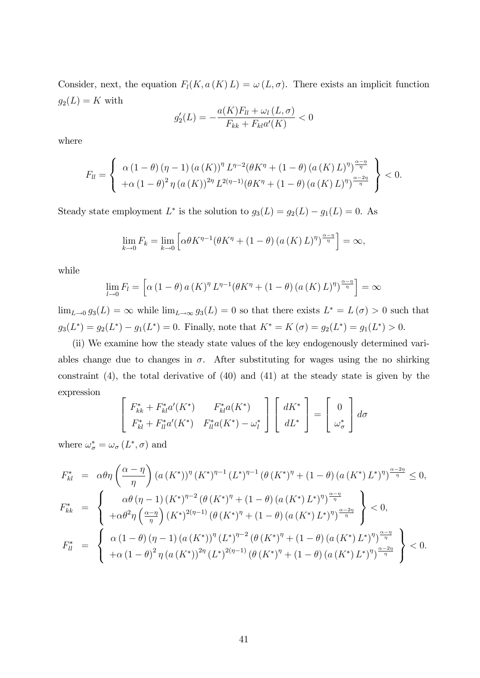Consider, next, the equation  $F_l(K, a(K) L) = \omega(L, \sigma)$ . There exists an implicit function  $g_2(L) = K$  with

$$
g'_{2}(L) = -\frac{a(K)F_{ll} + \omega_{l}(L,\sigma)}{F_{kk} + F_{kl}a'(K)} < 0
$$

where

$$
F_{ll} = \begin{cases} \alpha (1 - \theta) (\eta - 1) (a (K))^{\eta} L^{\eta - 2} (\theta K^{\eta} + (1 - \theta) (a (K) L)^{\eta})^{\frac{\alpha - \eta}{\eta}} \\ + \alpha (1 - \theta)^2 \eta (a (K))^{2\eta} L^{2(\eta - 1)} (\theta K^{\eta} + (1 - \theta) (a (K) L)^{\eta})^{\frac{\alpha - 2\eta}{\eta}} \end{cases} < 0.
$$

Steady state employment  $L^*$  is the solution to  $g_3(L) = g_2(L) - g_1(L) = 0$ . As

$$
\lim_{k \to 0} F_k = \lim_{k \to 0} \left[ \alpha \theta K^{\eta - 1} (\theta K^{\eta} + (1 - \theta) (a (K) L)^{\eta})^{\frac{\alpha - \eta}{\eta}} \right] = \infty,
$$

while

$$
\lim_{l \to 0} F_l = \left[ \alpha \left( 1 - \theta \right) a \left( K \right)^{\eta} L^{\eta - 1} \left( \theta K^{\eta} + \left( 1 - \theta \right) \left( a \left( K \right) L \right)^{\eta} \right)^{\frac{\alpha - \eta}{\eta}} \right] = \infty
$$

 $\lim_{L\to 0} g_3(L) = \infty$  while  $\lim_{L\to\infty} g_3(L) = 0$  so that there exists  $L^* = L(\sigma) > 0$  such that  $g_3(L^*) = g_2(L^*) - g_1(L^*) = 0.$  Finally, note that  $K^* = K(\sigma) = g_2(L^*) = g_1(L^*) > 0.$ 

(ii) We examine how the steady state values of the key endogenously determined variables change due to changes in  $\sigma$ . After substituting for wages using the no shirking constraint (4), the total derivative of (40) and (41) at the steady state is given by the expression

$$
\begin{bmatrix}\nF_{kk}^* + F_{kl}^* a'(K^*) & F_{kl}^* a(K^*) \\
F_{kl}^* + F_{ll}^* a'(K^*) & F_{ll}^* a(K^*) - \omega_l^*\n\end{bmatrix}\n\begin{bmatrix}\ndK^* \\
dL^*\n\end{bmatrix} =\n\begin{bmatrix}\n0 \\
\omega_{\sigma}^*\n\end{bmatrix} d\sigma
$$

where  $\omega_{\sigma}^* = \omega_{\sigma} (L^*, \sigma)$  and

$$
F_{kl}^{*} = \alpha \theta \eta \left( \frac{\alpha - \eta}{\eta} \right) (a (K^{*}))^{\eta} (K^{*})^{\eta - 1} (L^{*})^{\eta - 1} (\theta (K^{*})^{\eta} + (1 - \theta) (a (K^{*}) L^{*})^{\eta} )^{\frac{\alpha - 2\eta}{\eta}} \leq 0,
$$
  
\n
$$
F_{kk}^{*} = \begin{cases} \alpha \theta (\eta - 1) (K^{*})^{\eta - 2} (\theta (K^{*})^{\eta} + (1 - \theta) (a (K^{*}) L^{*})^{\eta})^{\frac{\alpha - \eta}{\eta}} \\ + \alpha \theta^{2} \eta \left( \frac{\alpha - \eta}{\eta} \right) (K^{*})^{2(\eta - 1)} (\theta (K^{*})^{\eta} + (1 - \theta) (a (K^{*}) L^{*})^{\eta})^{\frac{\alpha - 2\eta}{\eta}} \end{cases} < 0,
$$
  
\n
$$
F_{ll}^{*} = \begin{cases} \alpha (1 - \theta) (\eta - 1) (a (K^{*}))^{\eta} (L^{*})^{\eta - 2} (\theta (K^{*})^{\eta} + (1 - \theta) (a (K^{*}) L^{*})^{\eta})^{\frac{\alpha - \eta}{\eta}} \\ + \alpha (1 - \theta)^{2} \eta (a (K^{*}))^{2\eta} (L^{*})^{2(\eta - 1)} (\theta (K^{*})^{\eta} + (1 - \theta) (a (K^{*}) L^{*})^{\eta})^{\frac{\alpha - 2\eta}{\eta}} \end{cases} < 0.
$$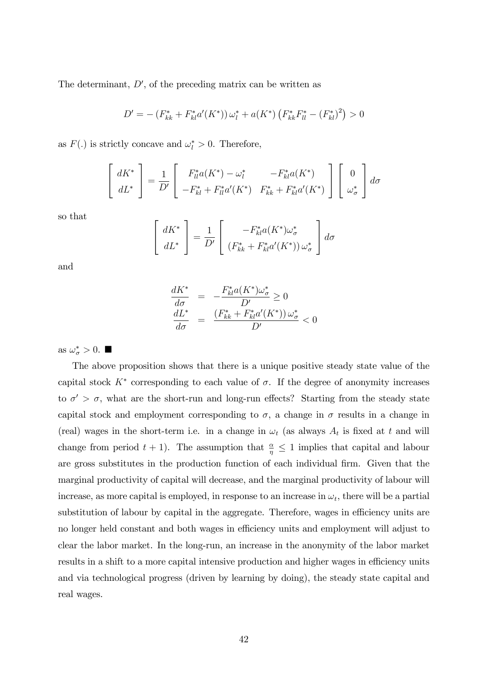The determinant,  $D'$ , of the preceding matrix can be written as

$$
D' = -\left(F_{kk}^* + F_{kl}^* a'(K^*)\right) \omega_l^* + a(K^*) \left(F_{kk}^* F_{ll}^* - \left(F_{kl}^*\right)^2\right) > 0
$$

as  $F(.)$  is strictly concave and  $\omega_l^* > 0$ . Therefore,

$$
\begin{bmatrix} dK^* \\ dL^* \end{bmatrix} = \frac{1}{D'} \begin{bmatrix} F_{ll}^* a(K^*) - \omega_l^* & -F_{kl}^* a(K^*) \\ -F_{kl}^* + F_{ll}^* a'(K^*) & F_{kk}^* + F_{kl}^* a'(K^*) \end{bmatrix} \begin{bmatrix} 0 \\ \omega_{\sigma}^* \end{bmatrix} d\sigma
$$

so that

$$
\begin{bmatrix} dK^* \\ dL^* \end{bmatrix} = \frac{1}{D'} \begin{bmatrix} -F_{kl}^* a(K^*) \omega_{\sigma}^* \\ (F_{kk}^* + F_{kl}^* a'(K^*)) \omega_{\sigma}^* \end{bmatrix} d\sigma
$$

and

$$
\frac{dK^*}{d\sigma} = -\frac{F_{kl}^* a(K^*) \omega_{\sigma}^*}{D'} \ge 0
$$
\n
$$
\frac{dL^*}{d\sigma} = \frac{(F_{kk}^* + F_{kl}^* a'(K^*)) \omega_{\sigma}^*}{D'} < 0
$$

as  $\omega_{\sigma}^* > 0$ .

The above proposition shows that there is a unique positive steady state value of the capital stock  $K^*$  corresponding to each value of  $\sigma$ . If the degree of anonymity increases to  $\sigma' > \sigma$ , what are the short-run and long-run effects? Starting from the steady state capital stock and employment corresponding to  $\sigma$ , a change in  $\sigma$  results in a change in (real) wages in the short-term i.e. in a change in  $\omega_t$  (as always  $A_t$  is fixed at t and will change from period  $t + 1$ ). The assumption that  $\frac{\alpha}{\eta} \leq 1$  implies that capital and labour are gross substitutes in the production function of each individual firm. Given that the marginal productivity of capital will decrease, and the marginal productivity of labour will increase, as more capital is employed, in response to an increase in  $\omega_t$ , there will be a partial substitution of labour by capital in the aggregate. Therefore, wages in efficiency units are no longer held constant and both wages in efficiency units and employment will adjust to clear the labor market. In the long-run, an increase in the anonymity of the labor market results in a shift to a more capital intensive production and higher wages in efficiency units and via technological progress (driven by learning by doing), the steady state capital and real wages.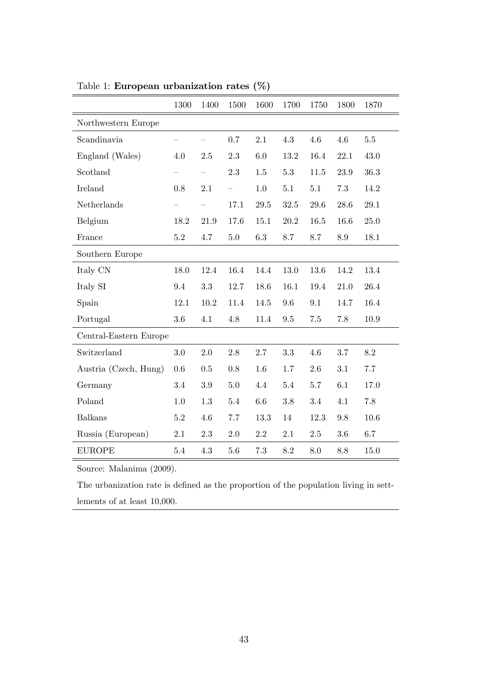|                        | 1300    | 1400    | 1500 | 1600 | 1700    | 1750 | 1800 | 1870 |
|------------------------|---------|---------|------|------|---------|------|------|------|
| Northwestern Europe    |         |         |      |      |         |      |      |      |
| Scandinavia            |         |         | 0.7  | 2.1  | 4.3     | 4.6  | 4.6  | 5.5  |
| England (Wales)        | 4.0     | 2.5     | 2.3  | 6.0  | 13.2    | 16.4 | 22.1 | 43.0 |
| Scotland               |         |         | 2.3  | 1.5  | $5.3\,$ | 11.5 | 23.9 | 36.3 |
| Ireland                | 0.8     | 2.1     |      | 1.0  | 5.1     | 5.1  | 7.3  | 14.2 |
| Netherlands            |         |         | 17.1 | 29.5 | 32.5    | 29.6 | 28.6 | 29.1 |
| Belgium                | 18.2    | 21.9    | 17.6 | 15.1 | 20.2    | 16.5 | 16.6 | 25.0 |
| France                 | $5.2\,$ | 4.7     | 5.0  | 6.3  | 8.7     | 8.7  | 8.9  | 18.1 |
| Southern Europe        |         |         |      |      |         |      |      |      |
| Italy CN               | 18.0    | 12.4    | 16.4 | 14.4 | 13.0    | 13.6 | 14.2 | 13.4 |
| Italy SI               | 9.4     | 3.3     | 12.7 | 18.6 | 16.1    | 19.4 | 21.0 | 26.4 |
| Spain                  | 12.1    | 10.2    | 11.4 | 14.5 | 9.6     | 9.1  | 14.7 | 16.4 |
| Portugal               | 3.6     | 4.1     | 4.8  | 11.4 | 9.5     | 7.5  | 7.8  | 10.9 |
| Central-Eastern Europe |         |         |      |      |         |      |      |      |
| Switzerland            | 3.0     | 2.0     | 2.8  | 2.7  | 3.3     | 4.6  | 3.7  | 8.2  |
| Austria (Czech, Hung)  | 0.6     | 0.5     | 0.8  | 1.6  | 1.7     | 2.6  | 3.1  | 7.7  |
| Germany                | 3.4     | $3.9\,$ | 5.0  | 4.4  | 5.4     | 5.7  | 6.1  | 17.0 |
| Poland                 | 1.0     | 1.3     | 5.4  | 6.6  | 3.8     | 3.4  | 4.1  | 7.8  |
| <b>Balkans</b>         | 5.2     | 4.6     | 7.7  | 13.3 | 14      | 12.3 | 9.8  | 10.6 |
| Russia (European)      | 2.1     | 2.3     | 2.0  | 2.2  | 2.1     | 2.5  | 3.6  | 6.7  |
| <b>EUROPE</b>          | 5.4     | 4.3     | 5.6  | 7.3  | 8.2     | 8.0  | 8.8  | 15.0 |

Table 1: European urbanization rates (%)

Source: Malanima (2009).

The urbanization rate is defined as the proportion of the population living in settlements of at least 10,000.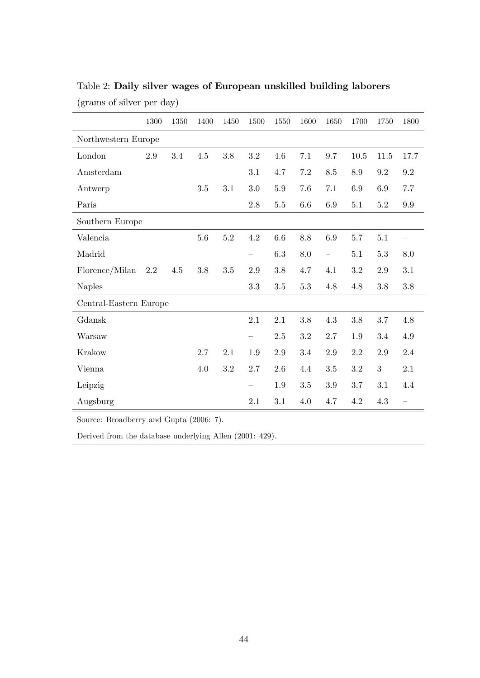|                                               | 1300 | 1350 | 1400    | 1450 | 1500                                  | 1550    | 1600    | 1650                     | 1700 | 1750    | 1800 |
|-----------------------------------------------|------|------|---------|------|---------------------------------------|---------|---------|--------------------------|------|---------|------|
| Northwestern Europe                           |      |      |         |      |                                       |         |         |                          |      |         |      |
| London                                        | 2.9  | 3.4  | 4.5     | 3.8  | 3.2                                   | 4.6     | 7.1     | 9.7                      | 10.5 | 11.5    | 17.7 |
| Amsterdam                                     |      |      |         |      | 3.1                                   | 4.7     | 7.2     | 8.5                      | 8.9  | 9.2     | 9.2  |
| Antwerp                                       |      |      | 3.5     | 3.1  | 3.0                                   | 5.9     | 7.6     | 7.1                      | 6.9  | 6.9     | 7.7  |
| Paris                                         |      |      |         |      | 2.8                                   | $5.5\,$ | $6.6\,$ | 6.9                      | 5.1  | $5.2\,$ | 9.9  |
| Southern Europe                               |      |      |         |      |                                       |         |         |                          |      |         |      |
| Valencia                                      |      |      | $5.6\,$ | 5.2  | 4.2                                   | 6.6     | 8.8     | 6.9                      | 5.7  | 5.1     |      |
| Madrid                                        |      |      |         |      | $\hspace{1.0cm} \rule{1.5cm}{0.15cm}$ | $6.3\,$ | 8.0     | $\overline{\phantom{0}}$ | 5.1  | $5.3\,$ | 8.0  |
| Florence/Milan                                | 2.2  | 4.5  | 3.8     | 3.5  | 2.9                                   | 3.8     | 4.7     | 4.1                      | 3.2  | 2.9     | 3.1  |
| <b>Naples</b>                                 |      |      |         |      | 3.3                                   | 3.5     | $5.3\,$ | 4.8                      | 4.8  | 3.8     | 3.8  |
| Central-Eastern Europe                        |      |      |         |      |                                       |         |         |                          |      |         |      |
| Gdansk                                        |      |      |         |      | 2.1                                   | 2.1     | 3.8     | 4.3                      | 3.8  | 3.7     | 4.8  |
| Warsaw                                        |      |      |         |      | $\qquad \qquad -$                     | 2.5     | 3.2     | 2.7                      | 1.9  | 3.4     | 4.9  |
| Krakow                                        |      |      | 2.7     | 2.1  | 1.9                                   | 2.9     | 3.4     | 2.9                      | 2.2  | 2.9     | 2.4  |
| Vienna                                        |      |      | 4.0     | 3.2  | 2.7                                   | 2.6     | 4.4     | 3.5                      | 3.2  | 3       | 2.1  |
| Leipzig                                       |      |      |         |      |                                       | 1.9     | 3.5     | 3.9                      | 3.7  | 3.1     | 4.4  |
| Augsburg                                      |      |      |         |      | 2.1                                   | 3.1     | 4.0     | 4.7                      | 4.2  | 4.3     |      |
| Source: Broadberry and Gupta $(2006 \cdot 7)$ |      |      |         |      |                                       |         |         |                          |      |         |      |

Table 2: Daily silver wages of European unskilled building laborers (grams of silver per day)

 $\gamma$  and Gupta (2006: 7).

Derived from the database underlying Allen (2001: 429).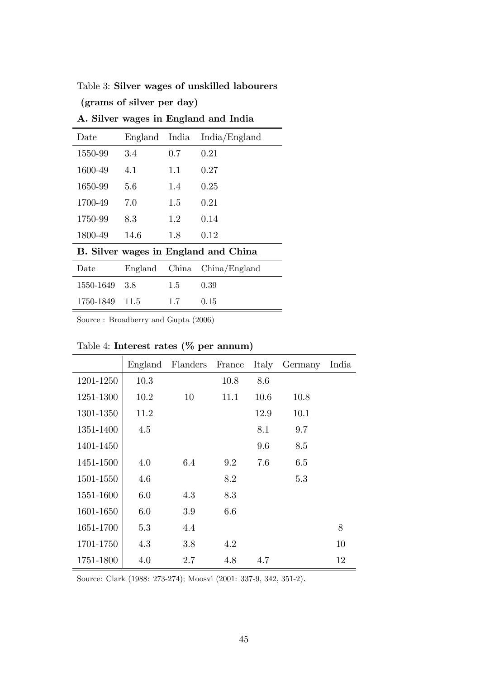| Table 3: Silver wages of unskilled labourers |  |  |
|----------------------------------------------|--|--|
|----------------------------------------------|--|--|

(grams of silver per day)

| Date      | England India |               | India/England                        |
|-----------|---------------|---------------|--------------------------------------|
| 1550-99   | 3.4           | 0.7           | 0.21                                 |
| 1600-49   | 4.1           | 1.1           | 0.27                                 |
| 1650-99   | 5.6           | 1.4           | 0.25                                 |
| 1700-49   | 7.0           | 1.5           | 0.21                                 |
| 1750-99   | 8.3           | 1.2           | 0.14                                 |
| 1800-49   | 14.6          | 1.8           | 0.12                                 |
|           |               |               | B. Silver wages in England and China |
| Date      |               |               | England China China/England          |
| 1550-1649 | 3.8           | 1.5           | 0.39                                 |
| 1750-1849 | 11.5          | $1.7^{\circ}$ | 0.15                                 |

A. Silver wages in England and India

Source : Broadberry and Gupta (2006)

|           |      | England Flanders | France | Italy | Germany | India |
|-----------|------|------------------|--------|-------|---------|-------|
| 1201-1250 | 10.3 |                  | 10.8   | 8.6   |         |       |
| 1251-1300 | 10.2 | 10               | 11.1   | 10.6  | 10.8    |       |
| 1301-1350 | 11.2 |                  |        | 12.9  | 10.1    |       |
| 1351-1400 | 4.5  |                  |        | 8.1   | 9.7     |       |
| 1401-1450 |      |                  |        | 9.6   | 8.5     |       |
| 1451-1500 | 4.0  | 6.4              | 9.2    | 7.6   | 6.5     |       |
| 1501-1550 | 4.6  |                  | 8.2    |       | 5.3     |       |
| 1551-1600 | 6.0  | 4.3              | 8.3    |       |         |       |
| 1601-1650 | 6.0  | 3.9              | 6.6    |       |         |       |
| 1651-1700 | 5.3  | 4.4              |        |       |         | 8     |
| 1701-1750 | 4.3  | 3.8              | 4.2    |       |         | 10    |
| 1751-1800 | 4.0  | 2.7              | 4.8    | 4.7   |         | 12    |

Table 4: Interest rates (% per annum)

Source: Clark (1988: 273-274); Moosvi (2001: 337-9, 342, 351-2).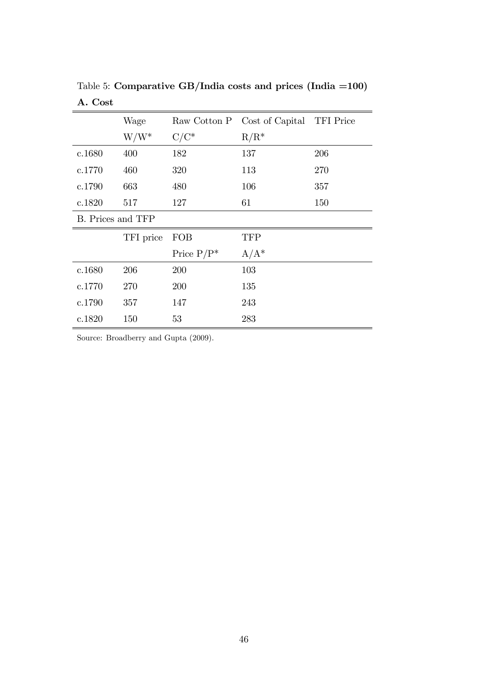|                   | Wage      |               | Raw Cotton P Cost of Capital TFI Price |     |
|-------------------|-----------|---------------|----------------------------------------|-----|
|                   | $W/W^*$   | $C/C^*$       | $R/R^*$                                |     |
| c.1680            | 400       | 182           | 137                                    | 206 |
| c.1770            | 460       | 320           | 113                                    | 270 |
| c.1790            | 663       | 480           | 106                                    | 357 |
| c.1820            | 517       | 127           | 61                                     | 150 |
| B. Prices and TFP |           |               |                                        |     |
|                   | TFI price | <b>FOB</b>    | <b>TFP</b>                             |     |
|                   |           | Price $P/P^*$ | $A/A^*$                                |     |
| c.1680            | 206       | 200           | 103                                    |     |
| c.1770            | 270       | 200           | 135                                    |     |
| c.1790            | 357       | 147           | 243                                    |     |
| c.1820            | 150       | 53            | 283                                    |     |

Table 5: Comparative GB/India costs and prices (India =100) A. Cost

Source: Broadberry and Gupta (2009).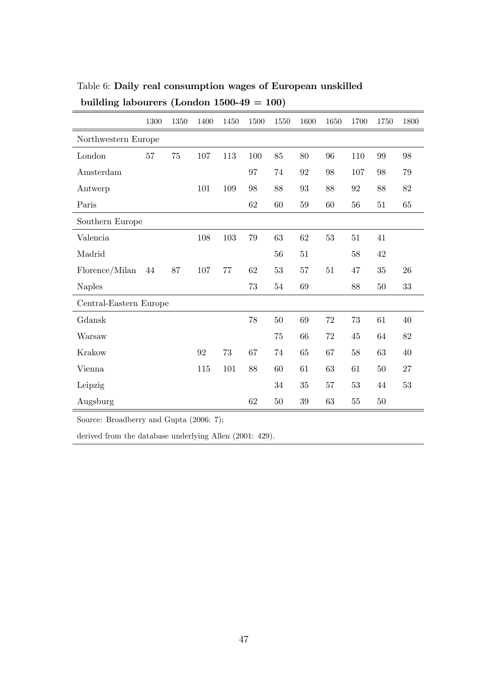|                                                                                                   | 1300 | 1350 | 1400 | 1450    | 1500 | 1550   | 1600   | 1650 | 1700   | 1750   | 1800   |
|---------------------------------------------------------------------------------------------------|------|------|------|---------|------|--------|--------|------|--------|--------|--------|
| Northwestern Europe                                                                               |      |      |      |         |      |        |        |      |        |        |        |
| London                                                                                            | 57   | 75   | 107  | 113     | 100  | 85     | 80     | 96   | 110    | 99     | 98     |
| Amsterdam                                                                                         |      |      |      |         | 97   | 74     | 92     | 98   | 107    | 98     | 79     |
| Antwerp                                                                                           |      |      | 101  | 109     | 98   | 88     | 93     | 88   | 92     | 88     | 82     |
| Paris                                                                                             |      |      |      |         | 62   | 60     | $59\,$ | 60   | 56     | 51     | 65     |
| Southern Europe                                                                                   |      |      |      |         |      |        |        |      |        |        |        |
| Valencia                                                                                          |      |      | 108  | $103\,$ | 79   | 63     | 62     | 53   | 51     | 41     |        |
| Madrid                                                                                            |      |      |      |         |      | 56     | 51     |      | 58     | 42     |        |
| Florence/Milan                                                                                    | 44   | 87   | 107  | 77      | 62   | 53     | 57     | 51   | 47     | 35     | 26     |
| <b>Naples</b>                                                                                     |      |      |      |         | 73   | 54     | 69     |      | 88     | $50\,$ | $33\,$ |
| Central-Eastern Europe                                                                            |      |      |      |         |      |        |        |      |        |        |        |
| Gdansk                                                                                            |      |      |      |         | 78   | 50     | 69     | 72   | 73     | 61     | 40     |
| Warsaw                                                                                            |      |      |      |         |      | 75     | 66     | 72   | 45     | 64     | 82     |
| Krakow                                                                                            |      |      | 92   | 73      | 67   | 74     | 65     | 67   | 58     | 63     | 40     |
| Vienna                                                                                            |      |      | 115  | 101     | 88   | 60     | 61     | 63   | 61     | $50\,$ | 27     |
| Leipzig                                                                                           |      |      |      |         |      | 34     | 35     | 57   | 53     | 44     | 53     |
| Augsburg                                                                                          |      |      |      |         | 62   | $50\,$ | $39\,$ | 63   | $55\,$ | $50\,$ |        |
| $\overline{11}$<br>$1 \cap \left( \bigcup_{\alpha \in \alpha} A_{\alpha} \right)$<br>$\mathbf{L}$ |      |      |      |         |      |        |        |      |        |        |        |

Table 6: Daily real consumption wages of European unskilled building labourers (London  $1500-49 = 100$ )

Source: Broadberry and Gupta (2006: 7);

derived from the database underlying Allen (2001: 429).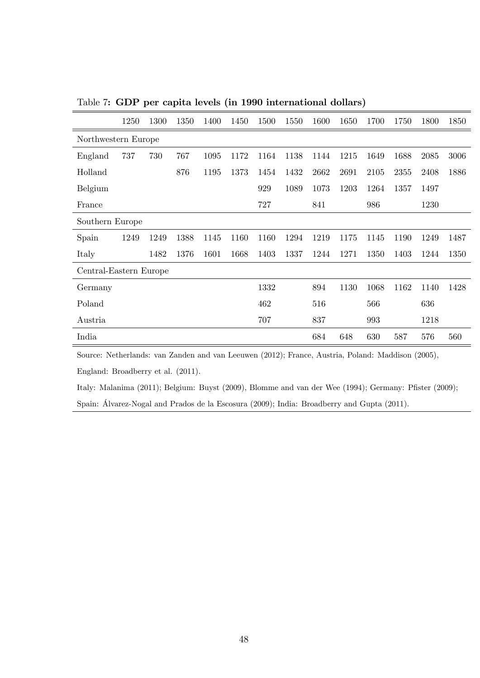|                        | 1250 | 1300 | 1350 | 1400 | 1450 | 1500 | 1550 | 1600 | 1650 | 1700 | 1750 | 1800 | 1850 |
|------------------------|------|------|------|------|------|------|------|------|------|------|------|------|------|
| Northwestern Europe    |      |      |      |      |      |      |      |      |      |      |      |      |      |
| England                | 737  | 730  | 767  | 1095 | 1172 | 1164 | 1138 | 1144 | 1215 | 1649 | 1688 | 2085 | 3006 |
| Holland                |      |      | 876  | 1195 | 1373 | 1454 | 1432 | 2662 | 2691 | 2105 | 2355 | 2408 | 1886 |
| Belgium                |      |      |      |      |      | 929  | 1089 | 1073 | 1203 | 1264 | 1357 | 1497 |      |
| France                 |      |      |      |      |      | 727  |      | 841  |      | 986  |      | 1230 |      |
| Southern Europe        |      |      |      |      |      |      |      |      |      |      |      |      |      |
| Spain                  | 1249 | 1249 | 1388 | 1145 | 1160 | 1160 | 1294 | 1219 | 1175 | 1145 | 1190 | 1249 | 1487 |
| Italy                  |      | 1482 | 1376 | 1601 | 1668 | 1403 | 1337 | 1244 | 1271 | 1350 | 1403 | 1244 | 1350 |
| Central-Eastern Europe |      |      |      |      |      |      |      |      |      |      |      |      |      |
| Germany                |      |      |      |      |      | 1332 |      | 894  | 1130 | 1068 | 1162 | 1140 | 1428 |
| Poland                 |      |      |      |      |      | 462  |      | 516  |      | 566  |      | 636  |      |
| Austria                |      |      |      |      |      | 707  |      | 837  |      | 993  |      | 1218 |      |
| India                  |      |      |      |      |      |      |      | 684  | 648  | 630  | 587  | 576  | 560  |

Table 7: GDP per capita levels (in 1990 international dollars)

Source: Netherlands: van Zanden and van Leeuwen (2012); France, Austria, Poland: Maddison (2005),

England: Broadberry et al. (2011).

Italy: Malanima (2011); Belgium: Buyst (2009), Blomme and van der Wee (1994); Germany: Pfister (2009); Spain: Álvarez-Nogal and Prados de la Escosura (2009); India: Broadberry and Gupta (2011).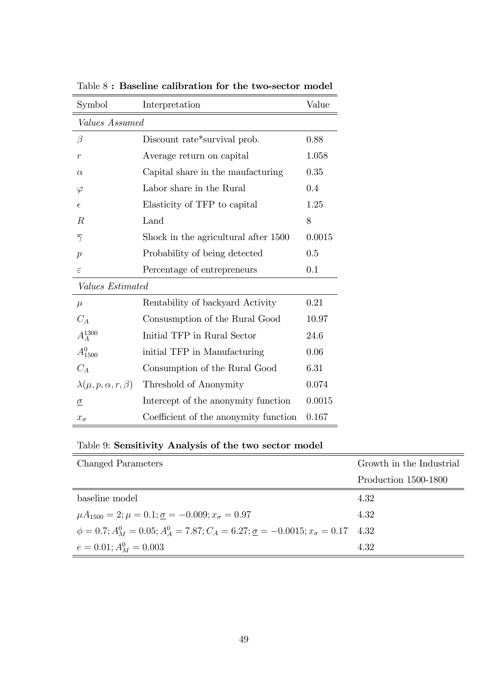| Symbol                              | Interpretation                        | Value  |  |  |  |  |  |
|-------------------------------------|---------------------------------------|--------|--|--|--|--|--|
| Values Assumed                      |                                       |        |  |  |  |  |  |
| $\beta$                             | Discount rate*survival prob.          | 0.88   |  |  |  |  |  |
| $\mathcal{r}$                       | Average return on capital             | 1.058  |  |  |  |  |  |
| $\alpha$                            | Capital share in the maufacturing     | 0.35   |  |  |  |  |  |
| $\varphi$                           | Labor share in the Rural              | 0.4    |  |  |  |  |  |
| $\epsilon$                          | Elasticity of TFP to capital          | 1.25   |  |  |  |  |  |
| $\boldsymbol{R}$                    | Land                                  | 8      |  |  |  |  |  |
| $\overline{\gamma}$                 | Shock in the agricultural after 1500  | 0.0015 |  |  |  |  |  |
| $\boldsymbol{p}$                    | Probability of being detected         | 0.5    |  |  |  |  |  |
| $\varepsilon$                       | Percentage of entrepreneurs           | 0.1    |  |  |  |  |  |
| Values Estimated                    |                                       |        |  |  |  |  |  |
| $\mu$                               | Rentability of backyard Activity      | 0.21   |  |  |  |  |  |
| $C_A$                               | Consusmption of the Rural Good        | 10.97  |  |  |  |  |  |
| $A_A^{1300}$                        | Initial TFP in Rural Sector           | 24.6   |  |  |  |  |  |
| $A_{1500}^{0}$                      | initial TFP in Manufacturing          | 0.06   |  |  |  |  |  |
| $C_A$                               | Consumption of the Rural Good         | 6.31   |  |  |  |  |  |
| $\lambda(\mu, p, \alpha, r, \beta)$ | Threshold of Anonymity                | 0.074  |  |  |  |  |  |
| $\overline{\mathcal{Q}}$            | Intercept of the anonymity function   | 0.0015 |  |  |  |  |  |
| $x_{\sigma}$                        | Coefficient of the anonymity function | 0.167  |  |  |  |  |  |

Table 8 : Baseline calibration for the two-sector model

| Table 9: Sensitivity Analysis of the two sector model |  |  |  |  |
|-------------------------------------------------------|--|--|--|--|
|-------------------------------------------------------|--|--|--|--|

| Changed Parameters                                                                                    | Growth in the Industrial |
|-------------------------------------------------------------------------------------------------------|--------------------------|
|                                                                                                       | Production 1500-1800     |
| baseline model                                                                                        | 4.32                     |
| $\mu A_{1500} = 2; \mu = 0.1; \sigma = -0.009; x_{\sigma} = 0.97$                                     | 4.32                     |
| $\phi = 0.7; A_M^0 = 0.05; A_A^0 = 7.87; C_A = 6.27; \underline{\sigma} = -0.0015; x_{\sigma} = 0.17$ | 4.32                     |
| $e = 0.01; A_M^0 = 0.003$                                                                             | 4.32                     |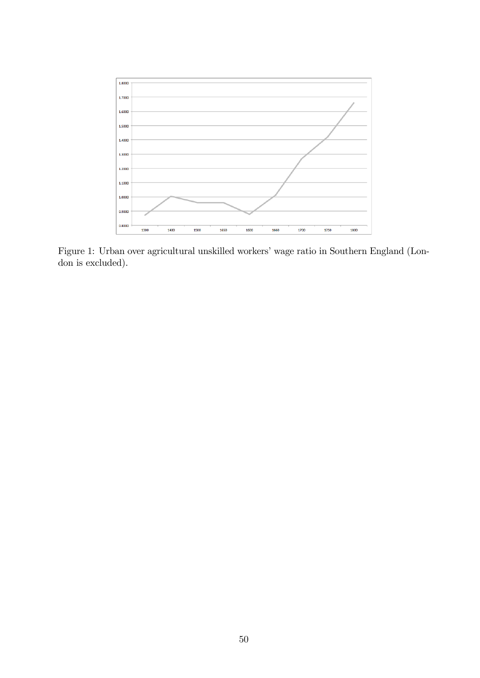

Figure 1: Urban over agricultural unskilled workers' wage ratio in Southern England (London is excluded).